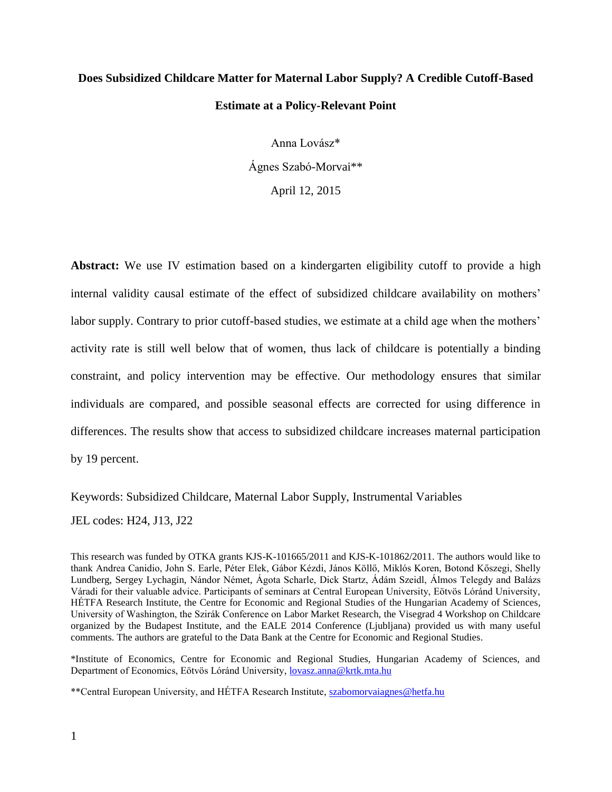# **Does Subsidized Childcare Matter for Maternal Labor Supply? A Credible Cutoff-Based Estimate at a Policy-Relevant Point**

Anna Lovász\* Ágnes Szabó-Morvai\*\* April 12, 2015

**Abstract:** We use IV estimation based on a kindergarten eligibility cutoff to provide a high internal validity causal estimate of the effect of subsidized childcare availability on mothers' labor supply. Contrary to prior cutoff-based studies, we estimate at a child age when the mothers' activity rate is still well below that of women, thus lack of childcare is potentially a binding constraint, and policy intervention may be effective. Our methodology ensures that similar individuals are compared, and possible seasonal effects are corrected for using difference in differences. The results show that access to subsidized childcare increases maternal participation by 19 percent.

Keywords: Subsidized Childcare, Maternal Labor Supply, Instrumental Variables

JEL codes: H24, J13, J22

This research was funded by OTKA grants KJS-K-101665/2011 and KJS-K-101862/2011. The authors would like to thank Andrea Canidio, John S. Earle, Péter Elek, Gábor Kézdi, János Köllő, Miklós Koren, Botond Kőszegi, Shelly Lundberg, Sergey Lychagin, Nándor Német, Ágota Scharle, Dick Startz, Ádám Szeidl, Álmos Telegdy and Balázs Váradi for their valuable advice. Participants of seminars at Central European University, Eötvös Lóránd University, HÉTFA Research Institute, the Centre for Economic and Regional Studies of the Hungarian Academy of Sciences, University of Washington, the Szirák Conference on Labor Market Research, the Visegrad 4 Workshop on Childcare organized by the Budapest Institute, and the EALE 2014 Conference (Ljubljana) provided us with many useful comments. The authors are grateful to the Data Bank at the Centre for Economic and Regional Studies.

\*Institute of Economics, Centre for Economic and Regional Studies, Hungarian Academy of Sciences, and Department of Economics, Eötvös Lóránd University[, lovasz.anna@krtk.mta.hu](mailto:lovasz.anna@krtk.mta.hu)

\*\*Central European University, and HÉTFA Research Institute, [szabomorvaiagnes@hetfa.hu](http://webmail.krtk.mta.hu/src/compose.php?send_to=szabomorvaiagnes%40hetfa.hu)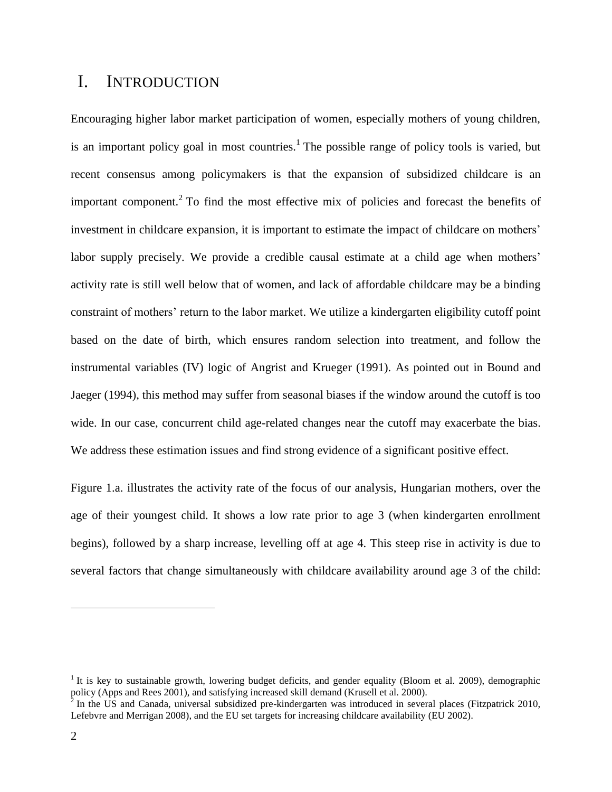### I. INTRODUCTION

Encouraging higher labor market participation of women, especially mothers of young children, is an important policy goal in most countries.<sup>1</sup> The possible range of policy tools is varied, but recent consensus among policymakers is that the expansion of subsidized childcare is an important component.<sup>2</sup> To find the most effective mix of policies and forecast the benefits of investment in childcare expansion, it is important to estimate the impact of childcare on mothers' labor supply precisely. We provide a credible causal estimate at a child age when mothers' activity rate is still well below that of women, and lack of affordable childcare may be a binding constraint of mothers' return to the labor market. We utilize a kindergarten eligibility cutoff point based on the date of birth, which ensures random selection into treatment, and follow the instrumental variables (IV) logic of Angrist and Krueger (1991). As pointed out in Bound and Jaeger (1994), this method may suffer from seasonal biases if the window around the cutoff is too wide. In our case, concurrent child age-related changes near the cutoff may exacerbate the bias. We address these estimation issues and find strong evidence of a significant positive effect.

Figure 1.a. illustrates the activity rate of the focus of our analysis, Hungarian mothers, over the age of their youngest child. It shows a low rate prior to age 3 (when kindergarten enrollment begins), followed by a sharp increase, levelling off at age 4. This steep rise in activity is due to several factors that change simultaneously with childcare availability around age 3 of the child:

<sup>&</sup>lt;sup>1</sup> It is key to sustainable growth, lowering budget deficits, and gender equality (Bloom et al. 2009), demographic policy (Apps and Rees 2001), and satisfying increased skill demand (Krusell et al. 2000).<br><sup>2</sup> In the US and Canada, universal subsidized pre-kindergarten was introduced in several places (Fitzpatrick 2010,

Lefebvre and Merrigan 2008), and the EU set targets for increasing childcare availability (EU 2002).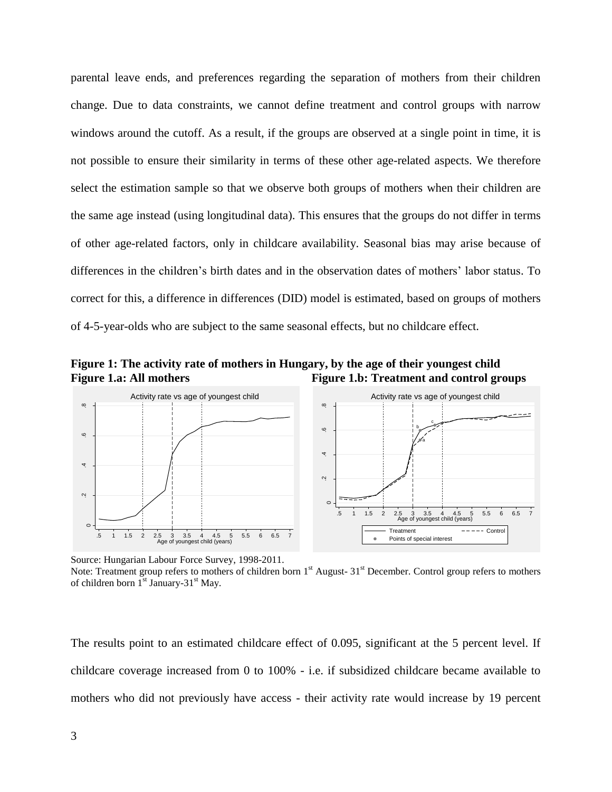parental leave ends, and preferences regarding the separation of mothers from their children change. Due to data constraints, we cannot define treatment and control groups with narrow windows around the cutoff. As a result, if the groups are observed at a single point in time, it is not possible to ensure their similarity in terms of these other age-related aspects. We therefore select the estimation sample so that we observe both groups of mothers when their children are the same age instead (using longitudinal data). This ensures that the groups do not differ in terms of other age-related factors, only in childcare availability. Seasonal bias may arise because of differences in the children's birth dates and in the observation dates of mothers' labor status. To correct for this, a difference in differences (DID) model is estimated, based on groups of mothers of 4-5-year-olds who are subject to the same seasonal effects, but no childcare effect.





Source: Hungarian Labour Force Survey, 1998-2011.

Note: Treatment group refers to mothers of children born 1<sup>st</sup> August- 31<sup>st</sup> December. Control group refers to mothers of children born  $1<sup>st</sup>$  January-31<sup>st</sup> May.

The results point to an estimated childcare effect of 0.095, significant at the 5 percent level. If childcare coverage increased from 0 to 100% - i.e. if subsidized childcare became available to mothers who did not previously have access - their activity rate would increase by 19 percent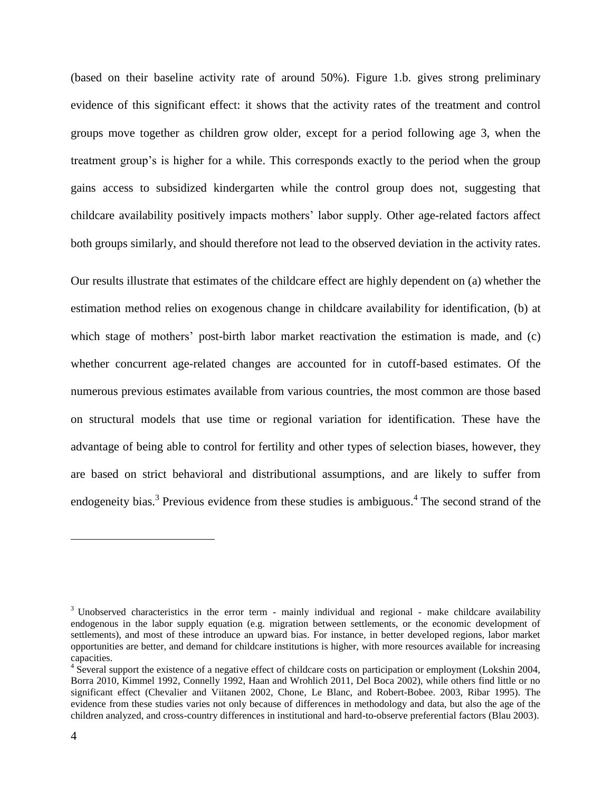(based on their baseline activity rate of around 50%). Figure 1.b. gives strong preliminary evidence of this significant effect: it shows that the activity rates of the treatment and control groups move together as children grow older, except for a period following age 3, when the treatment group's is higher for a while. This corresponds exactly to the period when the group gains access to subsidized kindergarten while the control group does not, suggesting that childcare availability positively impacts mothers' labor supply. Other age-related factors affect both groups similarly, and should therefore not lead to the observed deviation in the activity rates.

Our results illustrate that estimates of the childcare effect are highly dependent on (a) whether the estimation method relies on exogenous change in childcare availability for identification, (b) at which stage of mothers' post-birth labor market reactivation the estimation is made, and (c) whether concurrent age-related changes are accounted for in cutoff-based estimates. Of the numerous previous estimates available from various countries, the most common are those based on structural models that use time or regional variation for identification. These have the advantage of being able to control for fertility and other types of selection biases, however, they are based on strict behavioral and distributional assumptions, and are likely to suffer from endogeneity bias.<sup>3</sup> Previous evidence from these studies is ambiguous.<sup>4</sup> The second strand of the

 $3$  Unobserved characteristics in the error term - mainly individual and regional - make childcare availability endogenous in the labor supply equation (e.g. migration between settlements, or the economic development of settlements), and most of these introduce an upward bias. For instance, in better developed regions, labor market opportunities are better, and demand for childcare institutions is higher, with more resources available for increasing capacities.

<sup>&</sup>lt;sup>4</sup> Several support the existence of a negative effect of childcare costs on participation or employment (Lokshin 2004, Borra 2010, Kimmel 1992, Connelly 1992, Haan and Wrohlich 2011, Del Boca 2002), while others find little or no significant effect (Chevalier and Viitanen 2002, Chone, Le Blanc, and Robert-Bobee. 2003, Ribar 1995). The evidence from these studies varies not only because of differences in methodology and data, but also the age of the children analyzed, and cross-country differences in institutional and hard-to-observe preferential factors (Blau 2003).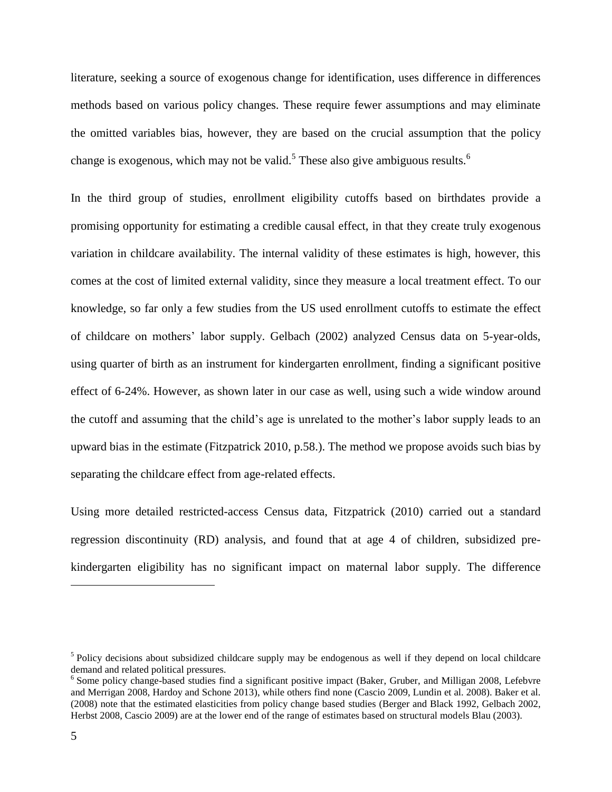literature, seeking a source of exogenous change for identification, uses difference in differences methods based on various policy changes. These require fewer assumptions and may eliminate the omitted variables bias, however, they are based on the crucial assumption that the policy change is exogenous, which may not be valid.<sup>5</sup> These also give ambiguous results.<sup>6</sup>

In the third group of studies, enrollment eligibility cutoffs based on birthdates provide a promising opportunity for estimating a credible causal effect, in that they create truly exogenous variation in childcare availability. The internal validity of these estimates is high, however, this comes at the cost of limited external validity, since they measure a local treatment effect. To our knowledge, so far only a few studies from the US used enrollment cutoffs to estimate the effect of childcare on mothers' labor supply. Gelbach (2002) analyzed Census data on 5-year-olds, using quarter of birth as an instrument for kindergarten enrollment, finding a significant positive effect of 6-24%. However, as shown later in our case as well, using such a wide window around the cutoff and assuming that the child's age is unrelated to the mother's labor supply leads to an upward bias in the estimate (Fitzpatrick 2010, p.58.). The method we propose avoids such bias by separating the childcare effect from age-related effects.

Using more detailed restricted-access Census data, Fitzpatrick (2010) carried out a standard regression discontinuity (RD) analysis, and found that at age 4 of children, subsidized prekindergarten eligibility has no significant impact on maternal labor supply. The difference

<sup>&</sup>lt;sup>5</sup> Policy decisions about subsidized childcare supply may be endogenous as well if they depend on local childcare demand and related political pressures.

<sup>&</sup>lt;sup>6</sup> Some policy change-based studies find a significant positive impact (Baker, Gruber, and Milligan 2008, Lefebvre and Merrigan 2008, Hardoy and Schone 2013), while others find none (Cascio 2009, Lundin et al. 2008). Baker et al. (2008) note that the estimated elasticities from policy change based studies (Berger and Black 1992, Gelbach 2002, Herbst 2008, Cascio 2009) are at the lower end of the range of estimates based on structural models Blau (2003).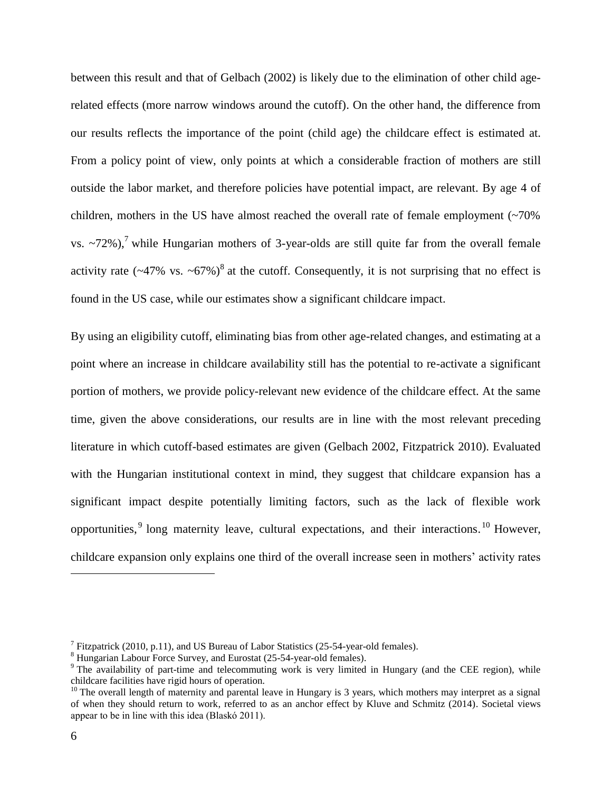between this result and that of Gelbach (2002) is likely due to the elimination of other child agerelated effects (more narrow windows around the cutoff). On the other hand, the difference from our results reflects the importance of the point (child age) the childcare effect is estimated at. From a policy point of view, only points at which a considerable fraction of mothers are still outside the labor market, and therefore policies have potential impact, are relevant. By age 4 of children, mothers in the US have almost reached the overall rate of female employment  $\left(\sim 70\right)$ vs.  $\sim$ 72%),<sup>7</sup> while Hungarian mothers of 3-year-olds are still quite far from the overall female activity rate  $({\sim}47\%$  vs.  ${\sim}67\%)^8$  at the cutoff. Consequently, it is not surprising that no effect is found in the US case, while our estimates show a significant childcare impact.

By using an eligibility cutoff, eliminating bias from other age-related changes, and estimating at a point where an increase in childcare availability still has the potential to re-activate a significant portion of mothers, we provide policy-relevant new evidence of the childcare effect. At the same time, given the above considerations, our results are in line with the most relevant preceding literature in which cutoff-based estimates are given (Gelbach 2002, Fitzpatrick 2010). Evaluated with the Hungarian institutional context in mind, they suggest that childcare expansion has a significant impact despite potentially limiting factors, such as the lack of flexible work opportunities, <sup>9</sup> long maternity leave, cultural expectations, and their interactions.<sup>10</sup> However, childcare expansion only explains one third of the overall increase seen in mothers' activity rates

<sup>&</sup>lt;sup>7</sup> Fitzpatrick (2010, p.11), and US Bureau of Labor Statistics (25-54-year-old females).

<sup>8</sup> Hungarian Labour Force Survey, and Eurostat (25-54-year-old females).

<sup>&</sup>lt;sup>9</sup> The availability of part-time and telecommuting work is very limited in Hungary (and the CEE region), while childcare facilities have rigid hours of operation.

<sup>&</sup>lt;sup>10</sup> The overall length of maternity and parental leave in Hungary is 3 years, which mothers may interpret as a signal of when they should return to work, referred to as an anchor effect by Kluve and Schmitz (2014). Societal views appear to be in line with this idea (Blaskó 2011).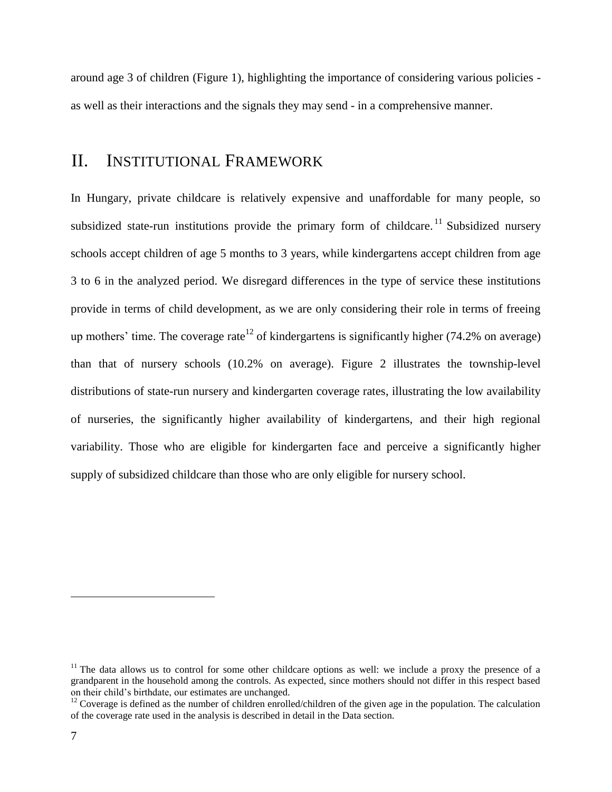around age 3 of children (Figure 1), highlighting the importance of considering various policies as well as their interactions and the signals they may send - in a comprehensive manner.

# II. INSTITUTIONAL FRAMEWORK

In Hungary, private childcare is relatively expensive and unaffordable for many people, so subsidized state-run institutions provide the primary form of childcare.<sup>11</sup> Subsidized nursery schools accept children of age 5 months to 3 years, while kindergartens accept children from age 3 to 6 in the analyzed period. We disregard differences in the type of service these institutions provide in terms of child development, as we are only considering their role in terms of freeing up mothers' time. The coverage rate<sup>12</sup> of kindergartens is significantly higher (74.2% on average) than that of nursery schools (10.2% on average). Figure 2 illustrates the township-level distributions of state-run nursery and kindergarten coverage rates, illustrating the low availability of nurseries, the significantly higher availability of kindergartens, and their high regional variability. Those who are eligible for kindergarten face and perceive a significantly higher supply of subsidized childcare than those who are only eligible for nursery school.

<sup>&</sup>lt;sup>11</sup> The data allows us to control for some other childcare options as well: we include a proxy the presence of a grandparent in the household among the controls. As expected, since mothers should not differ in this respect based on their child's birthdate, our estimates are unchanged.

 $12$  Coverage is defined as the number of children enrolled/children of the given age in the population. The calculation of the coverage rate used in the analysis is described in detail in the Data section.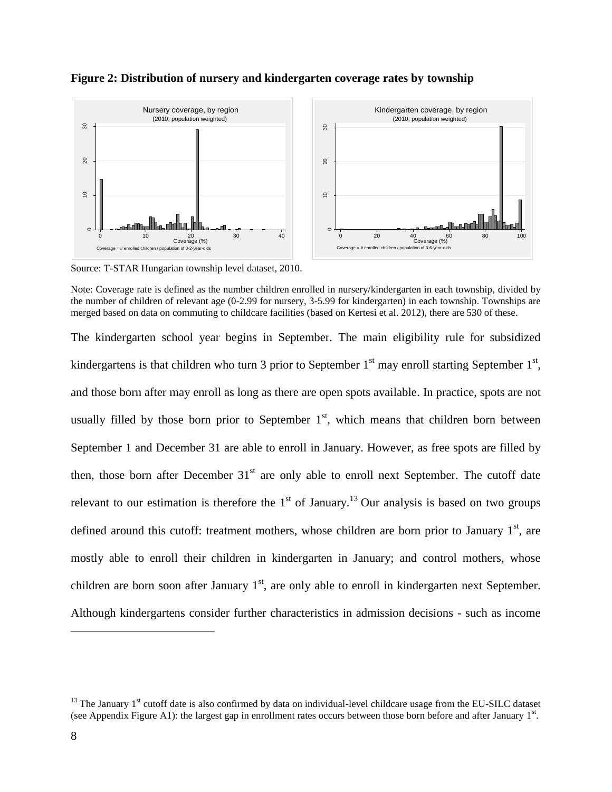

**Figure 2: Distribution of nursery and kindergarten coverage rates by township**

Source: T-STAR Hungarian township level dataset, 2010.

The kindergarten school year begins in September. The main eligibility rule for subsidized kindergartens is that children who turn 3 prior to September  $1<sup>st</sup>$  may enroll starting September  $1<sup>st</sup>$ , and those born after may enroll as long as there are open spots available. In practice, spots are not usually filled by those born prior to September  $1<sup>st</sup>$ , which means that children born between September 1 and December 31 are able to enroll in January. However, as free spots are filled by then, those born after December  $31<sup>st</sup>$  are only able to enroll next September. The cutoff date relevant to our estimation is therefore the  $1<sup>st</sup>$  of January.<sup>13</sup> Our analysis is based on two groups defined around this cutoff: treatment mothers, whose children are born prior to January  $1<sup>st</sup>$ , are mostly able to enroll their children in kindergarten in January; and control mothers, whose children are born soon after January  $1<sup>st</sup>$ , are only able to enroll in kindergarten next September. Although kindergartens consider further characteristics in admission decisions - such as income

Note: Coverage rate is defined as the number children enrolled in nursery/kindergarten in each township, divided by the number of children of relevant age (0-2.99 for nursery, 3-5.99 for kindergarten) in each township. Townships are merged based on data on commuting to childcare facilities (based on Kertesi et al. 2012), there are 530 of these.

 $13$  The January 1<sup>st</sup> cutoff date is also confirmed by data on individual-level childcare usage from the EU-SILC dataset (see Appendix Figure A1): the largest gap in enrollment rates occurs between those born before and after January  $1<sup>st</sup>$ .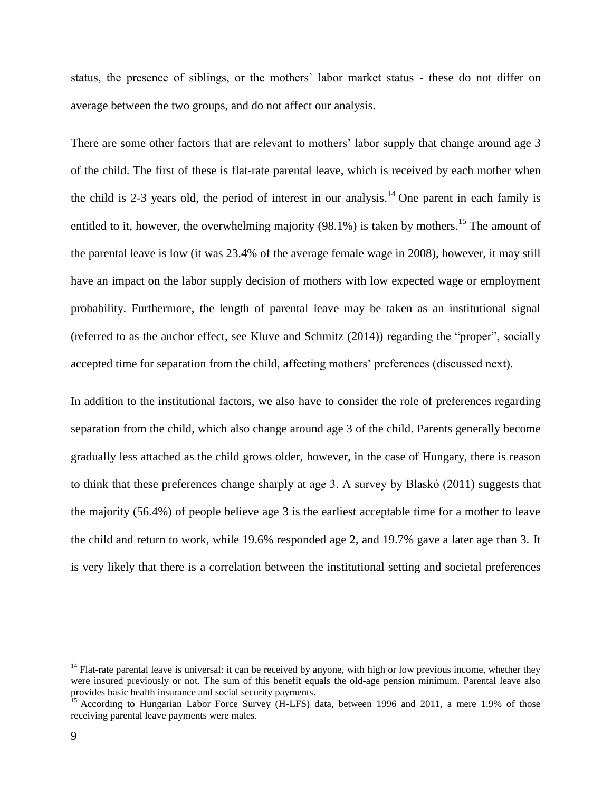status, the presence of siblings, or the mothers' labor market status - these do not differ on average between the two groups, and do not affect our analysis.

There are some other factors that are relevant to mothers' labor supply that change around age 3 of the child. The first of these is flat-rate parental leave, which is received by each mother when the child is 2-3 years old, the period of interest in our analysis.<sup>14</sup> One parent in each family is entitled to it, however, the overwhelming majority  $(98.1\%)$  is taken by mothers.<sup>15</sup> The amount of the parental leave is low (it was 23.4% of the average female wage in 2008), however, it may still have an impact on the labor supply decision of mothers with low expected wage or employment probability. Furthermore, the length of parental leave may be taken as an institutional signal (referred to as the anchor effect, see Kluve and Schmitz (2014)) regarding the "proper", socially accepted time for separation from the child, affecting mothers' preferences (discussed next).

In addition to the institutional factors, we also have to consider the role of preferences regarding separation from the child, which also change around age 3 of the child. Parents generally become gradually less attached as the child grows older, however, in the case of Hungary, there is reason to think that these preferences change sharply at age 3. A survey by Blaskó (2011) suggests that the majority (56.4%) of people believe age 3 is the earliest acceptable time for a mother to leave the child and return to work, while 19.6% responded age 2, and 19.7% gave a later age than 3. It is very likely that there is a correlation between the institutional setting and societal preferences

<sup>&</sup>lt;sup>14</sup> Flat-rate parental leave is universal: it can be received by anyone, with high or low previous income, whether they were insured previously or not. The sum of this benefit equals the old-age pension minimum. Parental leave also provides basic health insurance and social security payments.

<sup>&</sup>lt;sup>15</sup> According to Hungarian Labor Force Survey (H-LFS) data, between 1996 and 2011, a mere 1.9% of those receiving parental leave payments were males.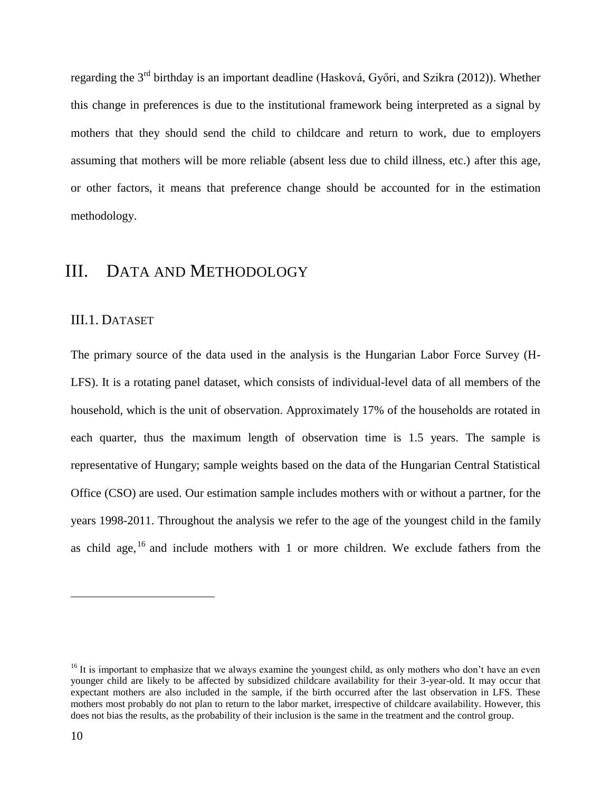regarding the 3rd birthday is an important deadline (Hasková, Győri, and Szikra (2012)). Whether this change in preferences is due to the institutional framework being interpreted as a signal by mothers that they should send the child to childcare and return to work, due to employers assuming that mothers will be more reliable (absent less due to child illness, etc.) after this age, or other factors, it means that preference change should be accounted for in the estimation methodology.

# III. DATA AND METHODOLOGY

#### III.1. DATASET

The primary source of the data used in the analysis is the Hungarian Labor Force Survey (H-LFS). It is a rotating panel dataset, which consists of individual-level data of all members of the household, which is the unit of observation. Approximately 17% of the households are rotated in each quarter, thus the maximum length of observation time is 1.5 years. The sample is representative of Hungary; sample weights based on the data of the Hungarian Central Statistical Office (CSO) are used. Our estimation sample includes mothers with or without a partner, for the years 1998-2011. Throughout the analysis we refer to the age of the youngest child in the family as child age,  $16$  and include mothers with 1 or more children. We exclude fathers from the

 $16$  It is important to emphasize that we always examine the youngest child, as only mothers who don't have an even younger child are likely to be affected by subsidized childcare availability for their 3-year-old. It may occur that expectant mothers are also included in the sample, if the birth occurred after the last observation in LFS. These mothers most probably do not plan to return to the labor market, irrespective of childcare availability. However, this does not bias the results, as the probability of their inclusion is the same in the treatment and the control group.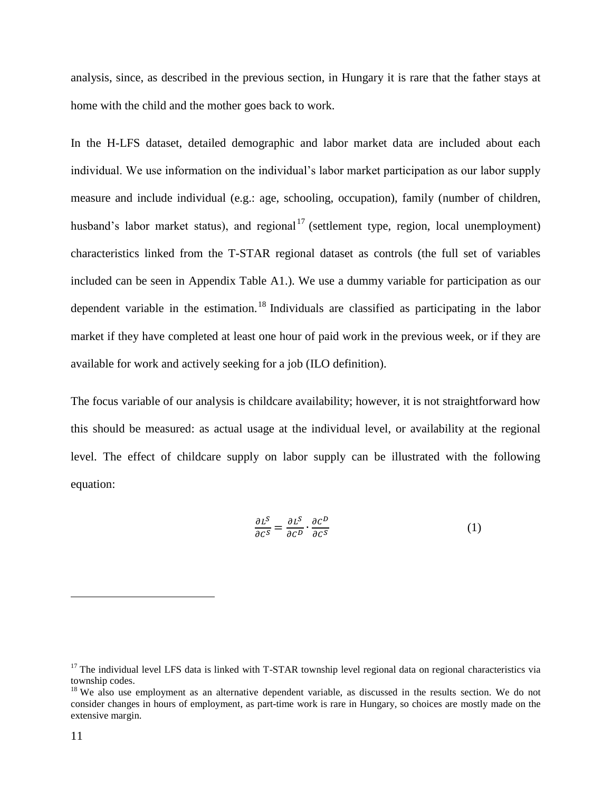analysis, since, as described in the previous section, in Hungary it is rare that the father stays at home with the child and the mother goes back to work.

In the H-LFS dataset, detailed demographic and labor market data are included about each individual. We use information on the individual's labor market participation as our labor supply measure and include individual (e.g.: age, schooling, occupation), family (number of children, husband's labor market status), and regional<sup>17</sup> (settlement type, region, local unemployment) characteristics linked from the T-STAR regional dataset as controls (the full set of variables included can be seen in Appendix Table A1.). We use a dummy variable for participation as our dependent variable in the estimation.<sup>18</sup> Individuals are classified as participating in the labor market if they have completed at least one hour of paid work in the previous week, or if they are available for work and actively seeking for a job (ILO definition).

The focus variable of our analysis is childcare availability; however, it is not straightforward how this should be measured: as actual usage at the individual level, or availability at the regional level. The effect of childcare supply on labor supply can be illustrated with the following equation:

$$
\frac{\partial L^S}{\partial c^S} = \frac{\partial L^S}{\partial c^D} \cdot \frac{\partial c^D}{\partial c^S} \tag{1}
$$

 $17$  The individual level LFS data is linked with T-STAR township level regional data on regional characteristics via township codes.

<sup>&</sup>lt;sup>18</sup> We also use employment as an alternative dependent variable, as discussed in the results section. We do not consider changes in hours of employment, as part-time work is rare in Hungary, so choices are mostly made on the extensive margin.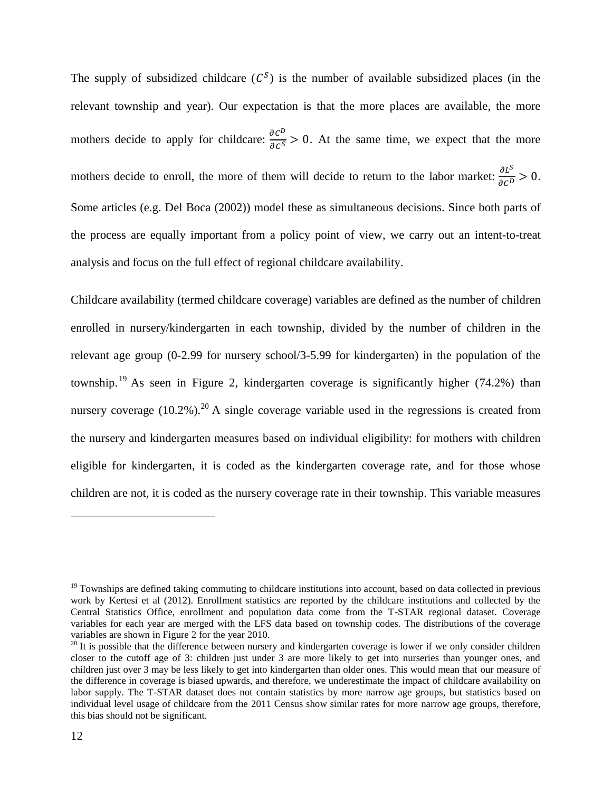The supply of subsidized childcare  $(C^S)$  is the number of available subsidized places (in the relevant township and year). Our expectation is that the more places are available, the more mothers decide to apply for childcare:  $\frac{\partial C^D}{\partial C^S} > 0$ . At the same time, we expect that the more mothers decide to enroll, the more of them will decide to return to the labor market:  $\frac{\partial L^S}{\partial C^D} > 0$ . Some articles (e.g. Del Boca (2002)) model these as simultaneous decisions. Since both parts of the process are equally important from a policy point of view, we carry out an intent-to-treat analysis and focus on the full effect of regional childcare availability.

Childcare availability (termed childcare coverage) variables are defined as the number of children enrolled in nursery/kindergarten in each township, divided by the number of children in the relevant age group (0-2.99 for nursery school/3-5.99 for kindergarten) in the population of the township.<sup>19</sup> As seen in Figure 2, kindergarten coverage is significantly higher (74.2%) than nursery coverage  $(10.2\%)$ .<sup>20</sup> A single coverage variable used in the regressions is created from the nursery and kindergarten measures based on individual eligibility: for mothers with children eligible for kindergarten, it is coded as the kindergarten coverage rate, and for those whose children are not, it is coded as the nursery coverage rate in their township. This variable measures

<sup>&</sup>lt;sup>19</sup> Townships are defined taking commuting to childcare institutions into account, based on data collected in previous work by Kertesi et al (2012). Enrollment statistics are reported by the childcare institutions and collected by the Central Statistics Office, enrollment and population data come from the T-STAR regional dataset. Coverage variables for each year are merged with the LFS data based on township codes. The distributions of the coverage variables are shown in Figure 2 for the year 2010.

 $20$  It is possible that the difference between nursery and kindergarten coverage is lower if we only consider children closer to the cutoff age of 3: children just under 3 are more likely to get into nurseries than younger ones, and children just over 3 may be less likely to get into kindergarten than older ones. This would mean that our measure of the difference in coverage is biased upwards, and therefore, we underestimate the impact of childcare availability on labor supply. The T-STAR dataset does not contain statistics by more narrow age groups, but statistics based on individual level usage of childcare from the 2011 Census show similar rates for more narrow age groups, therefore, this bias should not be significant.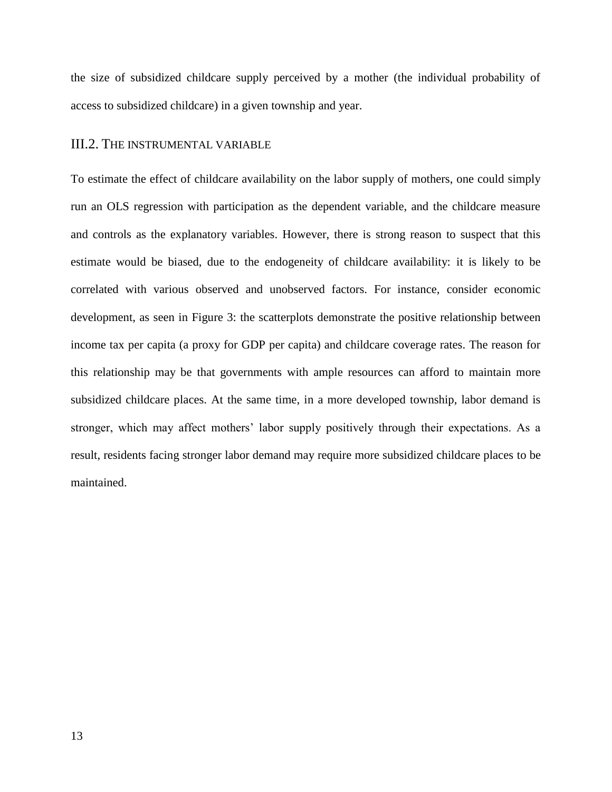the size of subsidized childcare supply perceived by a mother (the individual probability of access to subsidized childcare) in a given township and year.

#### III.2. THE INSTRUMENTAL VARIABLE

To estimate the effect of childcare availability on the labor supply of mothers, one could simply run an OLS regression with participation as the dependent variable, and the childcare measure and controls as the explanatory variables. However, there is strong reason to suspect that this estimate would be biased, due to the endogeneity of childcare availability: it is likely to be correlated with various observed and unobserved factors. For instance, consider economic development, as seen in Figure 3: the scatterplots demonstrate the positive relationship between income tax per capita (a proxy for GDP per capita) and childcare coverage rates. The reason for this relationship may be that governments with ample resources can afford to maintain more subsidized childcare places. At the same time, in a more developed township, labor demand is stronger, which may affect mothers' labor supply positively through their expectations. As a result, residents facing stronger labor demand may require more subsidized childcare places to be maintained.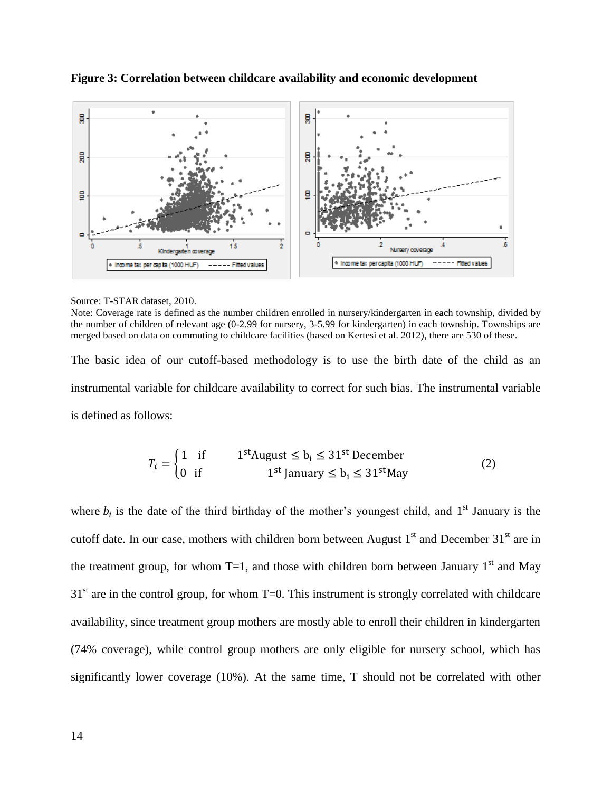

**Figure 3: Correlation between childcare availability and economic development**

The basic idea of our cutoff-based methodology is to use the birth date of the child as an instrumental variable for childcare availability to correct for such bias. The instrumental variable is defined as follows:

$$
T_i = \begin{cases} 1 & \text{if} & 1^{\text{st}} \text{August} \le b_i \le 31^{\text{st}} \text{ December} \\ 0 & \text{if} & 1^{\text{st}} \text{ January} \le b_i \le 31^{\text{st}} \text{May} \end{cases} \tag{2}
$$

where  $b_i$  is the date of the third birthday of the mother's youngest child, and 1<sup>st</sup> January is the cutoff date. In our case, mothers with children born between August  $1<sup>st</sup>$  and December 31 $<sup>st</sup>$  are in</sup> the treatment group, for whom T=1, and those with children born between January 1<sup>st</sup> and May  $31<sup>st</sup>$  are in the control group, for whom T=0. This instrument is strongly correlated with childcare availability, since treatment group mothers are mostly able to enroll their children in kindergarten (74% coverage), while control group mothers are only eligible for nursery school, which has significantly lower coverage (10%). At the same time, T should not be correlated with other

Source: T-STAR dataset, 2010.

Note: Coverage rate is defined as the number children enrolled in nursery/kindergarten in each township, divided by the number of children of relevant age (0-2.99 for nursery, 3-5.99 for kindergarten) in each township. Townships are merged based on data on commuting to childcare facilities (based on Kertesi et al. 2012), there are 530 of these.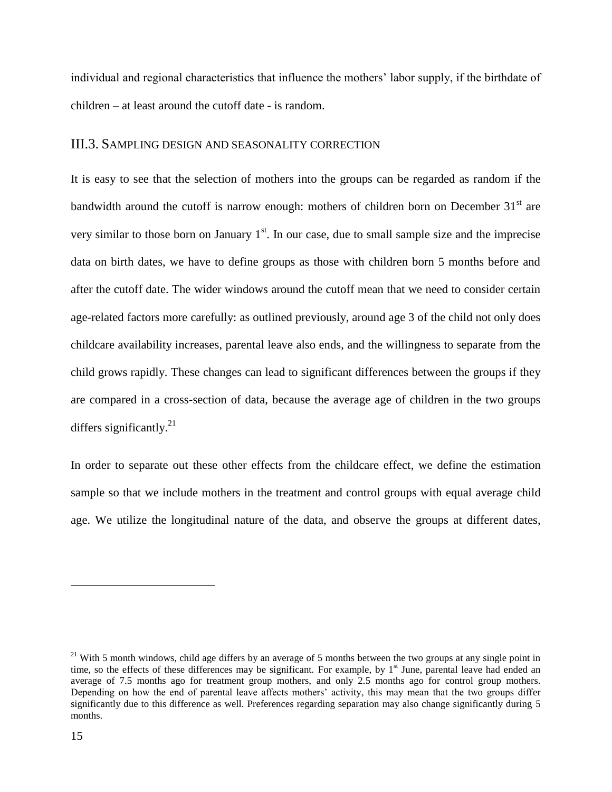individual and regional characteristics that influence the mothers' labor supply, if the birthdate of children – at least around the cutoff date - is random.

#### III.3. SAMPLING DESIGN AND SEASONALITY CORRECTION

It is easy to see that the selection of mothers into the groups can be regarded as random if the bandwidth around the cutoff is narrow enough: mothers of children born on December  $31<sup>st</sup>$  are very similar to those born on January  $1<sup>st</sup>$ . In our case, due to small sample size and the imprecise data on birth dates, we have to define groups as those with children born 5 months before and after the cutoff date. The wider windows around the cutoff mean that we need to consider certain age-related factors more carefully: as outlined previously, around age 3 of the child not only does childcare availability increases, parental leave also ends, and the willingness to separate from the child grows rapidly. These changes can lead to significant differences between the groups if they are compared in a cross-section of data, because the average age of children in the two groups differs significantly.<sup>21</sup>

In order to separate out these other effects from the childcare effect, we define the estimation sample so that we include mothers in the treatment and control groups with equal average child age. We utilize the longitudinal nature of the data, and observe the groups at different dates,

<sup>&</sup>lt;sup>21</sup> With 5 month windows, child age differs by an average of 5 months between the two groups at any single point in time, so the effects of these differences may be significant. For example, by  $1<sup>st</sup>$  June, parental leave had ended an average of 7.5 months ago for treatment group mothers, and only 2.5 months ago for control group mothers. Depending on how the end of parental leave affects mothers' activity, this may mean that the two groups differ significantly due to this difference as well. Preferences regarding separation may also change significantly during 5 months.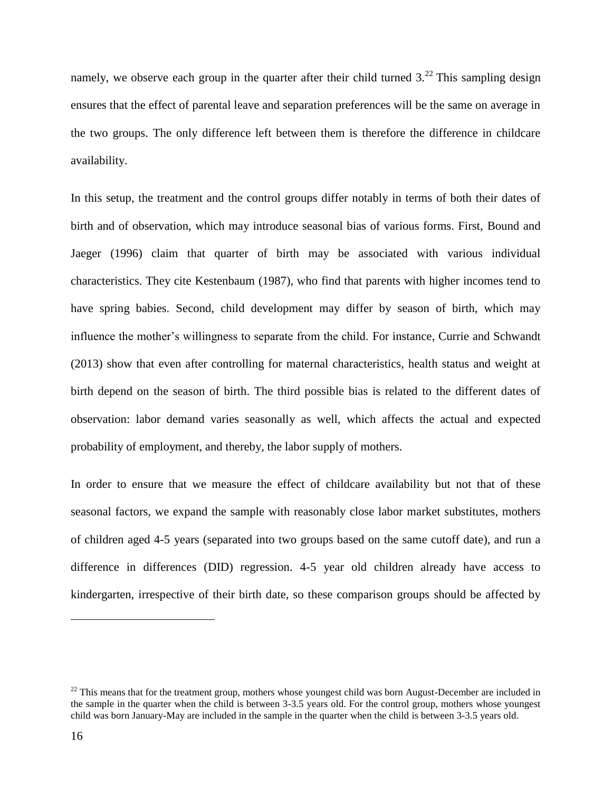namely, we observe each group in the quarter after their child turned  $3<sup>22</sup>$ . This sampling design ensures that the effect of parental leave and separation preferences will be the same on average in the two groups. The only difference left between them is therefore the difference in childcare availability.

In this setup, the treatment and the control groups differ notably in terms of both their dates of birth and of observation, which may introduce seasonal bias of various forms. First, Bound and Jaeger (1996) claim that quarter of birth may be associated with various individual characteristics. They cite Kestenbaum (1987), who find that parents with higher incomes tend to have spring babies. Second, child development may differ by season of birth, which may influence the mother's willingness to separate from the child. For instance, Currie and Schwandt (2013) show that even after controlling for maternal characteristics, health status and weight at birth depend on the season of birth. The third possible bias is related to the different dates of observation: labor demand varies seasonally as well, which affects the actual and expected probability of employment, and thereby, the labor supply of mothers.

In order to ensure that we measure the effect of childcare availability but not that of these seasonal factors, we expand the sample with reasonably close labor market substitutes, mothers of children aged 4-5 years (separated into two groups based on the same cutoff date), and run a difference in differences (DID) regression. 4-5 year old children already have access to kindergarten, irrespective of their birth date, so these comparison groups should be affected by

 $22$  This means that for the treatment group, mothers whose youngest child was born August-December are included in the sample in the quarter when the child is between 3-3.5 years old. For the control group, mothers whose youngest child was born January-May are included in the sample in the quarter when the child is between 3-3.5 years old.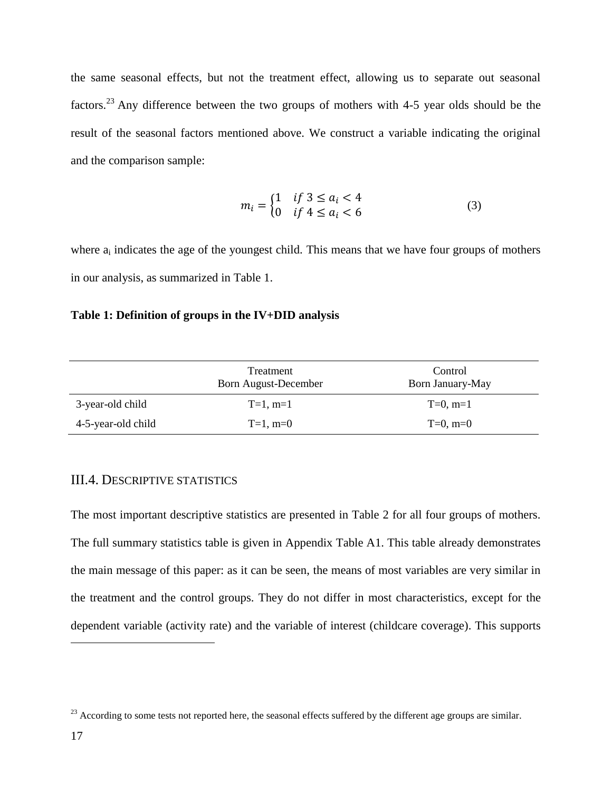the same seasonal effects, but not the treatment effect, allowing us to separate out seasonal factors.<sup>23</sup> Any difference between the two groups of mothers with 4-5 year olds should be the result of the seasonal factors mentioned above. We construct a variable indicating the original and the comparison sample:

$$
m_i = \begin{cases} 1 & \text{if } 3 \le a_i < 4 \\ 0 & \text{if } 4 \le a_i < 6 \end{cases} \tag{3}
$$

where  $a_i$  indicates the age of the youngest child. This means that we have four groups of mothers in our analysis, as summarized in Table 1.

#### **Table 1: Definition of groups in the IV+DID analysis**

|                    | Treatment<br><b>Born August-December</b> | Control<br>Born January-May |
|--------------------|------------------------------------------|-----------------------------|
| 3-year-old child   | $T=1$ , m=1                              | $T=0$ , m=1                 |
| 4-5-year-old child | $T=1, m=0$                               | $T=0$ , m=0                 |

### III.4. DESCRIPTIVE STATISTICS

The most important descriptive statistics are presented in Table 2 for all four groups of mothers. The full summary statistics table is given in Appendix Table A1. This table already demonstrates the main message of this paper: as it can be seen, the means of most variables are very similar in the treatment and the control groups. They do not differ in most characteristics, except for the dependent variable (activity rate) and the variable of interest (childcare coverage). This supports

<sup>&</sup>lt;sup>23</sup> According to some tests not reported here, the seasonal effects suffered by the different age groups are similar.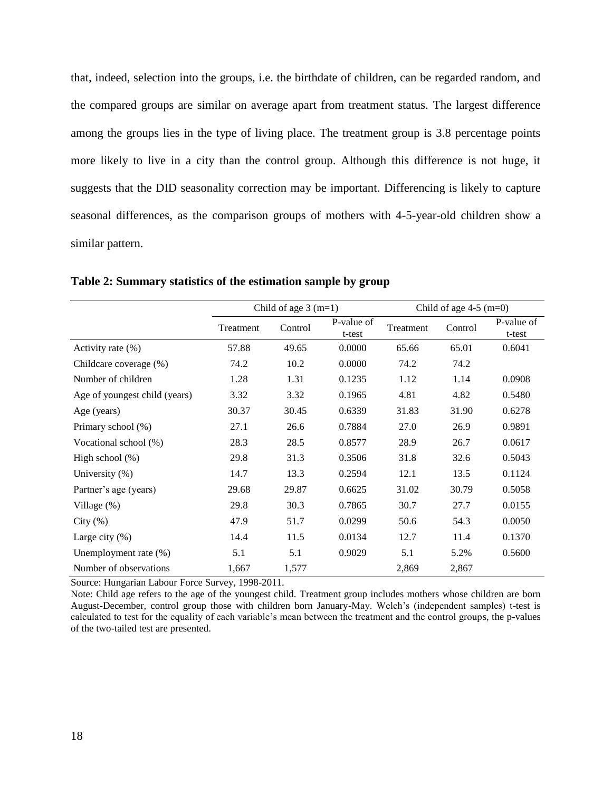that, indeed, selection into the groups, i.e. the birthdate of children, can be regarded random, and the compared groups are similar on average apart from treatment status. The largest difference among the groups lies in the type of living place. The treatment group is 3.8 percentage points more likely to live in a city than the control group. Although this difference is not huge, it suggests that the DID seasonality correction may be important. Differencing is likely to capture seasonal differences, as the comparison groups of mothers with 4-5-year-old children show a similar pattern.

|                               | Child of age $3$ (m=1) |         |                      | Child of age $4-5$ (m=0) |         |                      |
|-------------------------------|------------------------|---------|----------------------|--------------------------|---------|----------------------|
|                               | Treatment              | Control | P-value of<br>t-test | Treatment                | Control | P-value of<br>t-test |
| Activity rate (%)             | 57.88                  | 49.65   | 0.0000               | 65.66                    | 65.01   | 0.6041               |
| Childcare coverage (%)        | 74.2                   | 10.2    | 0.0000               | 74.2                     | 74.2    |                      |
| Number of children            | 1.28                   | 1.31    | 0.1235               | 1.12                     | 1.14    | 0.0908               |
| Age of youngest child (years) | 3.32                   | 3.32    | 0.1965               | 4.81                     | 4.82    | 0.5480               |
| Age (years)                   | 30.37                  | 30.45   | 0.6339               | 31.83                    | 31.90   | 0.6278               |
| Primary school (%)            | 27.1                   | 26.6    | 0.7884               | 27.0                     | 26.9    | 0.9891               |
| Vocational school (%)         | 28.3                   | 28.5    | 0.8577               | 28.9                     | 26.7    | 0.0617               |
| High school $(\%)$            | 29.8                   | 31.3    | 0.3506               | 31.8                     | 32.6    | 0.5043               |
| University (%)                | 14.7                   | 13.3    | 0.2594               | 12.1                     | 13.5    | 0.1124               |
| Partner's age (years)         | 29.68                  | 29.87   | 0.6625               | 31.02                    | 30.79   | 0.5058               |
| Village (%)                   | 29.8                   | 30.3    | 0.7865               | 30.7                     | 27.7    | 0.0155               |
| City $(\%)$                   | 47.9                   | 51.7    | 0.0299               | 50.6                     | 54.3    | 0.0050               |
| Large city $(\% )$            | 14.4                   | 11.5    | 0.0134               | 12.7                     | 11.4    | 0.1370               |
| Unemployment rate (%)         | 5.1                    | 5.1     | 0.9029               | 5.1                      | 5.2%    | 0.5600               |
| Number of observations        | 1,667                  | 1,577   |                      | 2,869                    | 2,867   |                      |

**Table 2: Summary statistics of the estimation sample by group**

Source: Hungarian Labour Force Survey, 1998-2011.

Note: Child age refers to the age of the youngest child. Treatment group includes mothers whose children are born August-December, control group those with children born January-May. Welch's (independent samples) t-test is calculated to test for the equality of each variable's mean between the treatment and the control groups, the p-values of the two-tailed test are presented.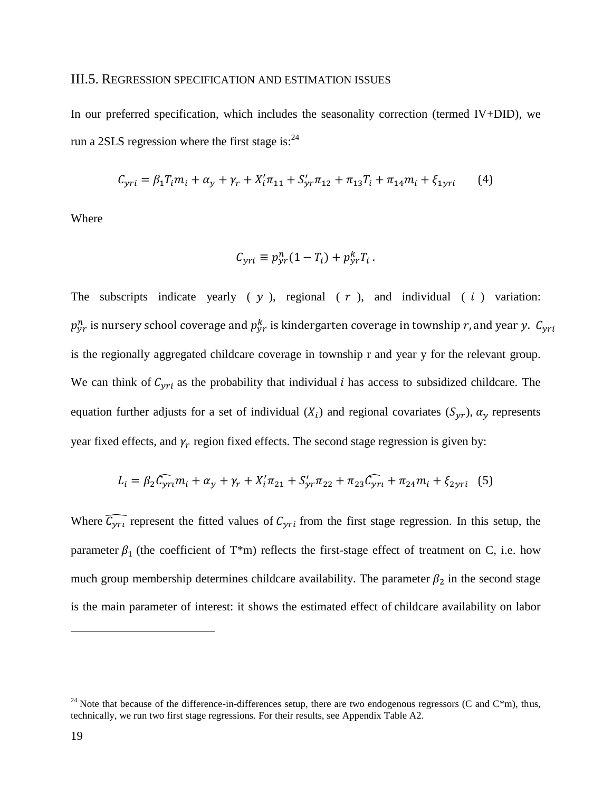#### III.5. REGRESSION SPECIFICATION AND ESTIMATION ISSUES

In our preferred specification, which includes the seasonality correction (termed IV+DID), we run a 2SLS regression where the first stage is: $^{24}$ 

$$
C_{yri} = \beta_1 T_i m_i + \alpha_y + \gamma_r + X'_i \pi_{11} + S'_{yr} \pi_{12} + \pi_{13} T_i + \pi_{14} m_i + \xi_{1yri}
$$
 (4)

Where

$$
C_{yri} \equiv p_{yr}^n (1 - T_i) + p_{yr}^k T_i.
$$

The subscripts indicate yearly  $(y)$ , regional  $(r)$ , and individual  $(i)$  variation:  $p_{yr}^n$  is nursery school coverage and  $p_{yr}^k$  is kindergarten coverage in township  $r$ , and year y.  $\mathcal{C}_{yri}$ is the regionally aggregated childcare coverage in township r and year y for the relevant group. We can think of  $C_{yri}$  as the probability that individual *i* has access to subsidized childcare. The equation further adjusts for a set of individual  $(X_i)$  and regional covariates  $(S_{\gamma r})$ ,  $\alpha_{\gamma}$  represents year fixed effects, and  $\gamma_r$  region fixed effects. The second stage regression is given by:

$$
L_i = \beta_2 \widehat{C}_{yri} m_i + \alpha_y + \gamma_r + X_i' \pi_{21} + S_{yr}' \pi_{22} + \pi_{23} \widehat{C}_{yri} + \pi_{24} m_i + \xi_{2yri}
$$
 (5)

Where  $\widehat{C_{yri}}$  represent the fitted values of  $C_{yri}$  from the first stage regression. In this setup, the parameter  $\beta_1$  (the coefficient of T\*m) reflects the first-stage effect of treatment on C, i.e. how much group membership determines childcare availability. The parameter  $\beta_2$  in the second stage is the main parameter of interest: it shows the estimated effect of childcare availability on labor

<sup>&</sup>lt;sup>24</sup> Note that because of the difference-in-differences setup, there are two endogenous regressors (C and C\*m), thus, technically, we run two first stage regressions. For their results, see Appendix Table A2.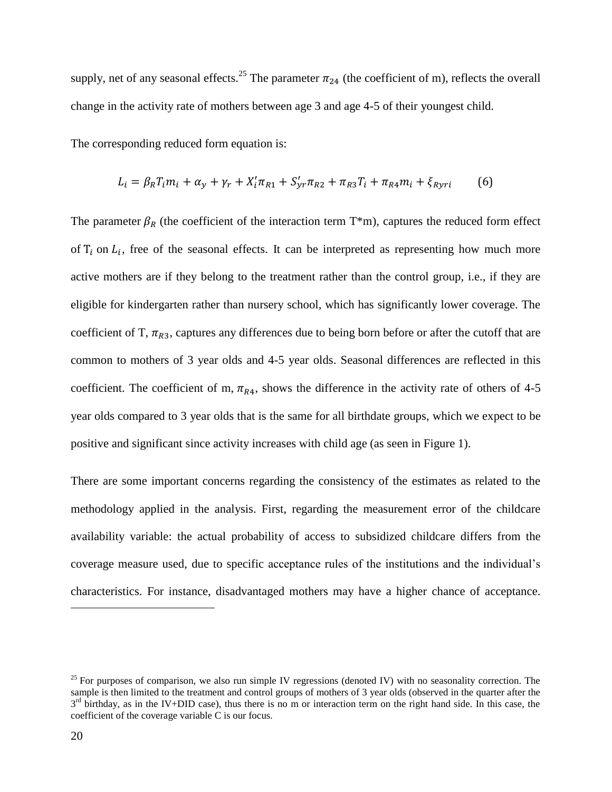supply, net of any seasonal effects.<sup>25</sup> The parameter  $\pi_{24}$  (the coefficient of m), reflects the overall change in the activity rate of mothers between age 3 and age 4-5 of their youngest child.

The corresponding reduced form equation is:

$$
L_i = \beta_R T_i m_i + \alpha_y + \gamma_r + X'_i \pi_{R1} + S'_{yr} \pi_{R2} + \pi_{R3} T_i + \pi_{R4} m_i + \xi_{Ryri}
$$
 (6)

The parameter  $\beta_R$  (the coefficient of the interaction term T\*m), captures the reduced form effect of  $T_i$  on  $L_i$ , free of the seasonal effects. It can be interpreted as representing how much more active mothers are if they belong to the treatment rather than the control group, i.e., if they are eligible for kindergarten rather than nursery school, which has significantly lower coverage. The coefficient of T,  $\pi_{R3}$ , captures any differences due to being born before or after the cutoff that are common to mothers of 3 year olds and 4-5 year olds. Seasonal differences are reflected in this coefficient. The coefficient of m,  $\pi_{R4}$ , shows the difference in the activity rate of others of 4-5 year olds compared to 3 year olds that is the same for all birthdate groups, which we expect to be positive and significant since activity increases with child age (as seen in Figure 1).

There are some important concerns regarding the consistency of the estimates as related to the methodology applied in the analysis. First, regarding the measurement error of the childcare availability variable: the actual probability of access to subsidized childcare differs from the coverage measure used, due to specific acceptance rules of the institutions and the individual's characteristics. For instance, disadvantaged mothers may have a higher chance of acceptance.

 $25$  For purposes of comparison, we also run simple IV regressions (denoted IV) with no seasonality correction. The sample is then limited to the treatment and control groups of mothers of 3 year olds (observed in the quarter after the  $3<sup>rd</sup>$  birthday, as in the IV+DID case), thus there is no m or interaction term on the right hand side. In this case, the coefficient of the coverage variable C is our focus.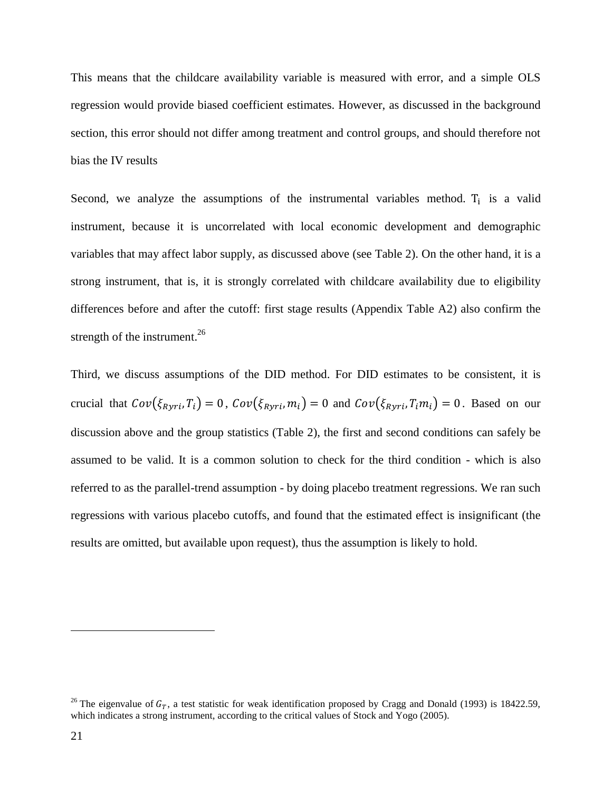This means that the childcare availability variable is measured with error, and a simple OLS regression would provide biased coefficient estimates. However, as discussed in the background section, this error should not differ among treatment and control groups, and should therefore not bias the IV results

Second, we analyze the assumptions of the instrumental variables method.  $T_i$  is a valid instrument, because it is uncorrelated with local economic development and demographic variables that may affect labor supply, as discussed above (see Table 2). On the other hand, it is a strong instrument, that is, it is strongly correlated with childcare availability due to eligibility differences before and after the cutoff: first stage results (Appendix Table A2) also confirm the strength of the instrument.<sup>26</sup>

Third, we discuss assumptions of the DID method. For DID estimates to be consistent, it is crucial that  $Cov(\xi_{Ryri}, T_i) = 0$ ,  $Cov(\xi_{Ryri}, m_i) = 0$  and  $Cov(\xi_{Ryri}, T_i m_i) = 0$ . Based on our discussion above and the group statistics (Table 2), the first and second conditions can safely be assumed to be valid. It is a common solution to check for the third condition - which is also referred to as the parallel-trend assumption - by doing placebo treatment regressions. We ran such regressions with various placebo cutoffs, and found that the estimated effect is insignificant (the results are omitted, but available upon request), thus the assumption is likely to hold.

<sup>&</sup>lt;sup>26</sup> The eigenvalue of  $G_T$ , a test statistic for weak identification proposed by Cragg and Donald (1993) is 18422.59, which indicates a strong instrument, according to the critical values of Stock and Yogo (2005).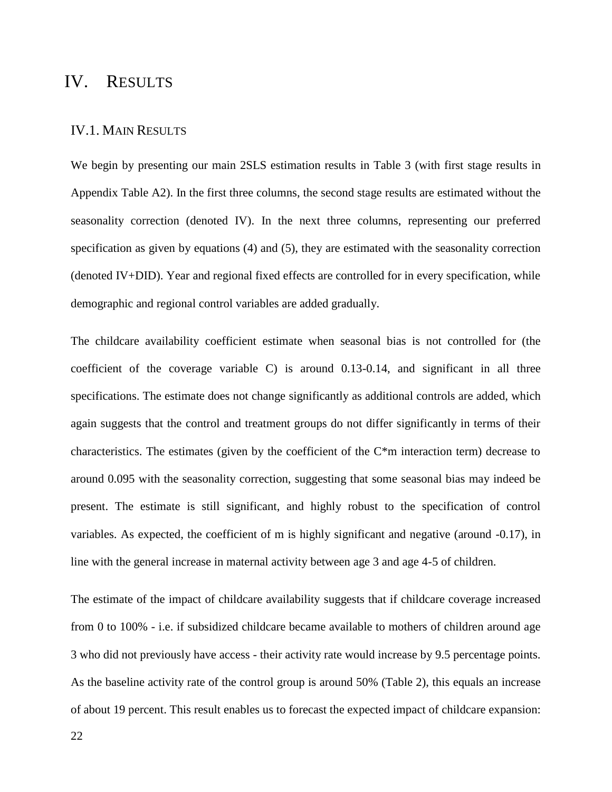## IV. RESULTS

#### IV.1. MAIN RESULTS

We begin by presenting our main 2SLS estimation results in Table 3 (with first stage results in Appendix Table A2). In the first three columns, the second stage results are estimated without the seasonality correction (denoted IV). In the next three columns, representing our preferred specification as given by equations (4) and (5), they are estimated with the seasonality correction (denoted IV+DID). Year and regional fixed effects are controlled for in every specification, while demographic and regional control variables are added gradually.

The childcare availability coefficient estimate when seasonal bias is not controlled for (the coefficient of the coverage variable C) is around 0.13-0.14, and significant in all three specifications. The estimate does not change significantly as additional controls are added, which again suggests that the control and treatment groups do not differ significantly in terms of their characteristics. The estimates (given by the coefficient of the C\*m interaction term) decrease to around 0.095 with the seasonality correction, suggesting that some seasonal bias may indeed be present. The estimate is still significant, and highly robust to the specification of control variables. As expected, the coefficient of m is highly significant and negative (around -0.17), in line with the general increase in maternal activity between age 3 and age 4-5 of children.

The estimate of the impact of childcare availability suggests that if childcare coverage increased from 0 to 100% - i.e. if subsidized childcare became available to mothers of children around age 3 who did not previously have access - their activity rate would increase by 9.5 percentage points. As the baseline activity rate of the control group is around 50% (Table 2), this equals an increase of about 19 percent. This result enables us to forecast the expected impact of childcare expansion: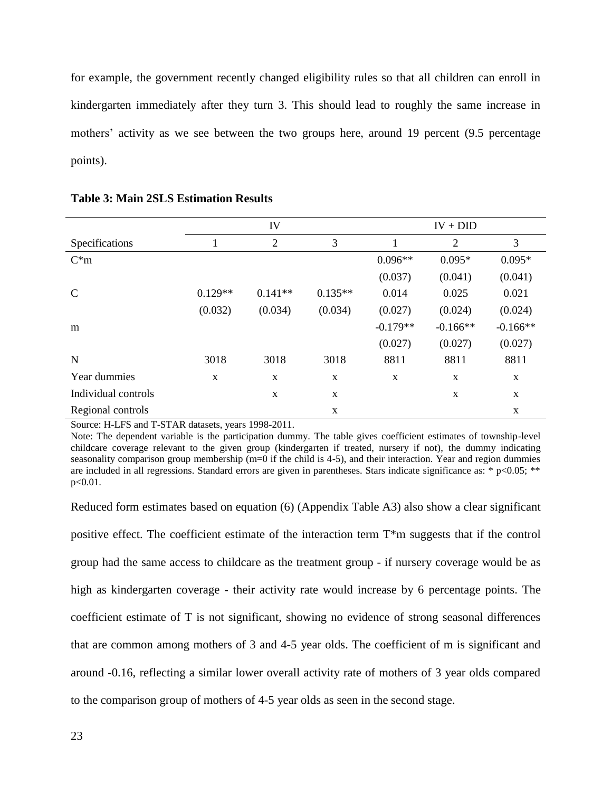for example, the government recently changed eligibility rules so that all children can enroll in kindergarten immediately after they turn 3. This should lead to roughly the same increase in mothers' activity as we see between the two groups here, around 19 percent (9.5 percentage points).

|                     | IV        |                |             | $IV + DID$  |                |             |
|---------------------|-----------|----------------|-------------|-------------|----------------|-------------|
| Specifications      |           | $\overline{2}$ | 3           |             | $\overline{2}$ | 3           |
| $C*m$               |           |                |             | $0.096**$   | $0.095*$       | $0.095*$    |
|                     |           |                |             | (0.037)     | (0.041)        | (0.041)     |
| $\mathcal{C}$       | $0.129**$ | $0.141**$      | $0.135**$   | 0.014       | 0.025          | 0.021       |
|                     | (0.032)   | (0.034)        | (0.034)     | (0.027)     | (0.024)        | (0.024)     |
| m                   |           |                |             | $-0.179**$  | $-0.166**$     | $-0.166**$  |
|                     |           |                |             | (0.027)     | (0.027)        | (0.027)     |
| $\mathbf N$         | 3018      | 3018           | 3018        | 8811        | 8811           | 8811        |
| Year dummies        | X         | $\mathbf X$    | $\mathbf X$ | $\mathbf X$ | $\mathbf X$    | $\mathbf X$ |
| Individual controls |           | $\mathbf X$    | $\mathbf X$ |             | $\mathbf X$    | $\mathbf X$ |
| Regional controls   |           |                | $\mathbf X$ |             |                | $\mathbf X$ |

#### **Table 3: Main 2SLS Estimation Results**

Source: H-LFS and T-STAR datasets, years 1998-2011.

Note: The dependent variable is the participation dummy. The table gives coefficient estimates of township-level childcare coverage relevant to the given group (kindergarten if treated, nursery if not), the dummy indicating seasonality comparison group membership (m=0 if the child is 4-5), and their interaction. Year and region dummies are included in all regressions. Standard errors are given in parentheses. Stars indicate significance as: \* p<0.05; \*\* p<0.01.

Reduced form estimates based on equation (6) (Appendix Table A3) also show a clear significant positive effect. The coefficient estimate of the interaction term T\*m suggests that if the control group had the same access to childcare as the treatment group - if nursery coverage would be as high as kindergarten coverage - their activity rate would increase by 6 percentage points. The coefficient estimate of T is not significant, showing no evidence of strong seasonal differences that are common among mothers of 3 and 4-5 year olds. The coefficient of m is significant and around -0.16, reflecting a similar lower overall activity rate of mothers of 3 year olds compared to the comparison group of mothers of 4-5 year olds as seen in the second stage.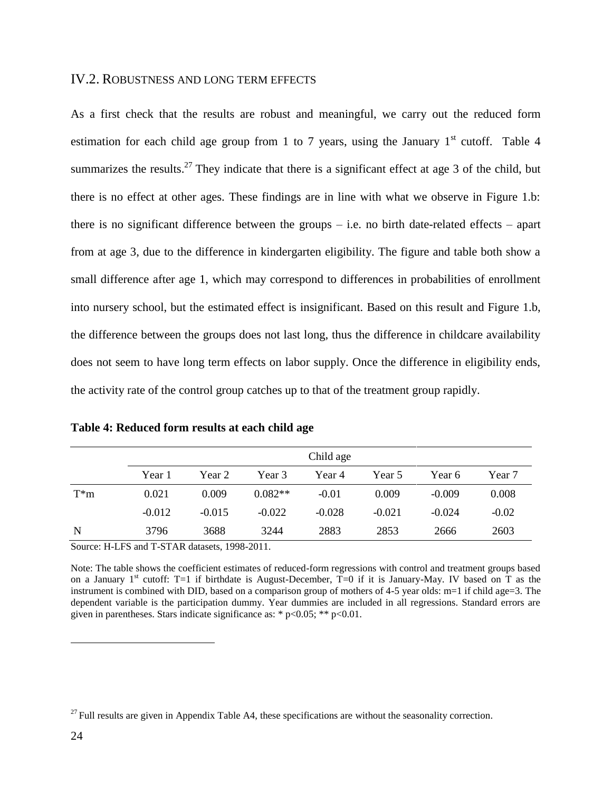#### IV.2. ROBUSTNESS AND LONG TERM EFFECTS

As a first check that the results are robust and meaningful, we carry out the reduced form estimation for each child age group from 1 to 7 years, using the January  $1<sup>st</sup>$  cutoff. Table 4 summarizes the results.<sup>27</sup> They indicate that there is a significant effect at age 3 of the child, but there is no effect at other ages. These findings are in line with what we observe in Figure 1.b: there is no significant difference between the groups – i.e. no birth date-related effects – apart from at age 3, due to the difference in kindergarten eligibility. The figure and table both show a small difference after age 1, which may correspond to differences in probabilities of enrollment into nursery school, but the estimated effect is insignificant. Based on this result and Figure 1.b, the difference between the groups does not last long, thus the difference in childcare availability does not seem to have long term effects on labor supply. Once the difference in eligibility ends, the activity rate of the control group catches up to that of the treatment group rapidly.

|        | Child age |          |           |          |          |          |         |  |  |
|--------|-----------|----------|-----------|----------|----------|----------|---------|--|--|
|        | Year 1    | Year 2   | Year 3    | Year 4   | Year 5   | Year 6   | Year 7  |  |  |
| $T^*m$ | 0.021     | 0.009    | $0.082**$ | $-0.01$  | 0.009    | $-0.009$ | 0.008   |  |  |
|        | $-0.012$  | $-0.015$ | $-0.022$  | $-0.028$ | $-0.021$ | $-0.024$ | $-0.02$ |  |  |
| N      | 3796      | 3688     | 3244      | 2883     | 2853     | 2666     | 2603    |  |  |

Source: H-LFS and T-STAR datasets, 1998-2011.

Note: The table shows the coefficient estimates of reduced-form regressions with control and treatment groups based on a January 1<sup>st</sup> cutoff: T=1 if birthdate is August-December, T=0 if it is January-May. IV based on T as the instrument is combined with DID, based on a comparison group of mothers of 4-5 year olds: m=1 if child age=3. The dependent variable is the participation dummy. Year dummies are included in all regressions. Standard errors are given in parentheses. Stars indicate significance as: \*  $p<0.05$ ; \*\*  $p<0.01$ .

 $27$  Full results are given in Appendix Table A4, these specifications are without the seasonality correction.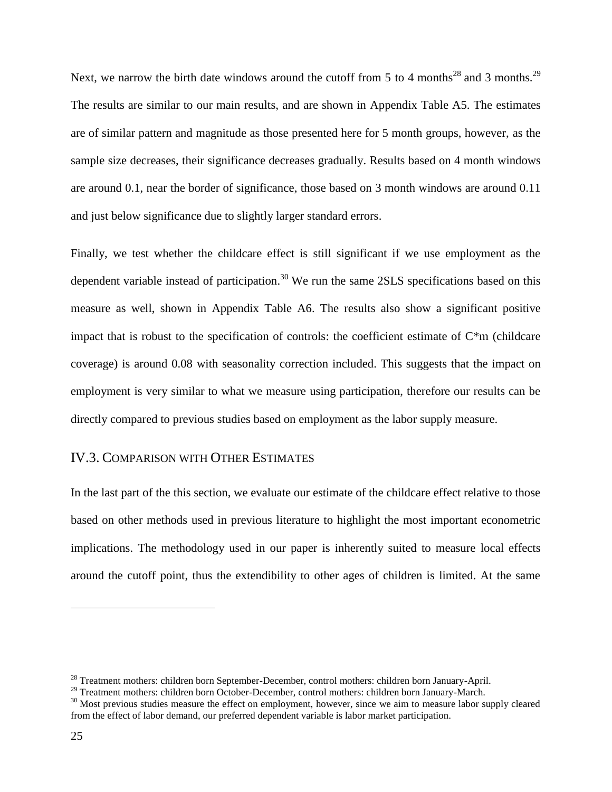Next, we narrow the birth date windows around the cutoff from 5 to 4 months<sup>28</sup> and 3 months.<sup>29</sup> The results are similar to our main results, and are shown in Appendix Table A5. The estimates are of similar pattern and magnitude as those presented here for 5 month groups, however, as the sample size decreases, their significance decreases gradually. Results based on 4 month windows are around 0.1, near the border of significance, those based on 3 month windows are around 0.11 and just below significance due to slightly larger standard errors.

Finally, we test whether the childcare effect is still significant if we use employment as the dependent variable instead of participation.<sup>30</sup> We run the same 2SLS specifications based on this measure as well, shown in Appendix Table A6. The results also show a significant positive impact that is robust to the specification of controls: the coefficient estimate of C\*m (childcare coverage) is around 0.08 with seasonality correction included. This suggests that the impact on employment is very similar to what we measure using participation, therefore our results can be directly compared to previous studies based on employment as the labor supply measure.

### IV.3. COMPARISON WITH OTHER ESTIMATES

In the last part of the this section, we evaluate our estimate of the childcare effect relative to those based on other methods used in previous literature to highlight the most important econometric implications. The methodology used in our paper is inherently suited to measure local effects around the cutoff point, thus the extendibility to other ages of children is limited. At the same

<sup>&</sup>lt;sup>28</sup> Treatment mothers: children born September-December, control mothers: children born January-April.

<sup>&</sup>lt;sup>29</sup> Treatment mothers: children born October-December, control mothers: children born January-March.

<sup>&</sup>lt;sup>30</sup> Most previous studies measure the effect on employment, however, since we aim to measure labor supply cleared from the effect of labor demand, our preferred dependent variable is labor market participation.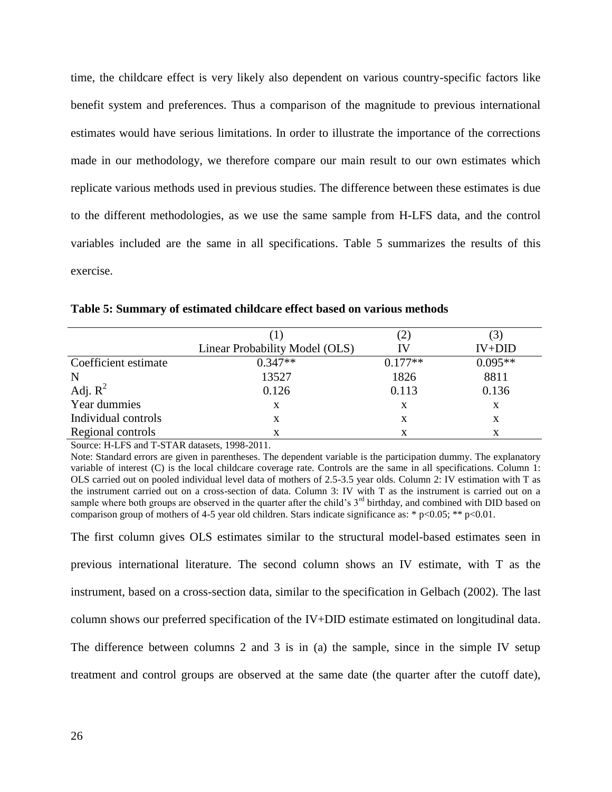time, the childcare effect is very likely also dependent on various country-specific factors like benefit system and preferences. Thus a comparison of the magnitude to previous international estimates would have serious limitations. In order to illustrate the importance of the corrections made in our methodology, we therefore compare our main result to our own estimates which replicate various methods used in previous studies. The difference between these estimates is due to the different methodologies, as we use the same sample from H-LFS data, and the control variables included are the same in all specifications. Table 5 summarizes the results of this exercise.

|                      |                                | (2)       |           |
|----------------------|--------------------------------|-----------|-----------|
|                      | Linear Probability Model (OLS) | IV        | $IV+DID$  |
| Coefficient estimate | $0.347**$                      | $0.177**$ | $0.095**$ |
| $\mathbf N$          | 13527                          | 1826      | 8811      |
| Adj. $R^2$           | 0.126                          | 0.113     | 0.136     |
| Year dummies         | X                              | X         | X         |
| Individual controls  | x                              | X         | X         |
| Regional controls    | x                              |           | x         |

**Table 5: Summary of estimated childcare effect based on various methods**

Source: H-LFS and T-STAR datasets, 1998-2011.

Note: Standard errors are given in parentheses. The dependent variable is the participation dummy. The explanatory variable of interest (C) is the local childcare coverage rate. Controls are the same in all specifications. Column 1: OLS carried out on pooled individual level data of mothers of 2.5-3.5 year olds. Column 2: IV estimation with T as the instrument carried out on a cross-section of data. Column 3: IV with T as the instrument is carried out on a sample where both groups are observed in the quarter after the child's 3<sup>rd</sup> birthday, and combined with DID based on comparison group of mothers of 4-5 year old children. Stars indicate significance as:  $* p < 0.05$ ;  $** p < 0.01$ .

The first column gives OLS estimates similar to the structural model-based estimates seen in previous international literature. The second column shows an IV estimate, with T as the instrument, based on a cross-section data, similar to the specification in Gelbach (2002). The last column shows our preferred specification of the IV+DID estimate estimated on longitudinal data. The difference between columns 2 and 3 is in (a) the sample, since in the simple IV setup treatment and control groups are observed at the same date (the quarter after the cutoff date),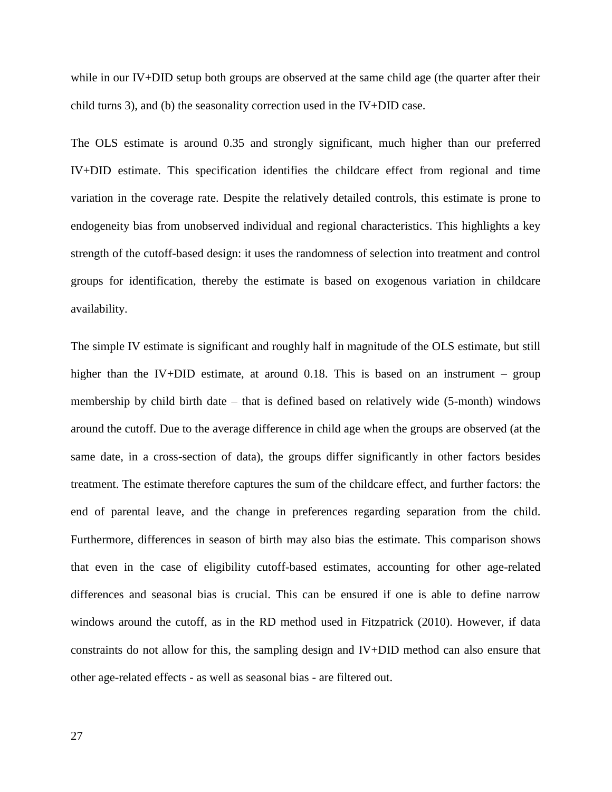while in our IV+DID setup both groups are observed at the same child age (the quarter after their child turns 3), and (b) the seasonality correction used in the IV+DID case.

The OLS estimate is around 0.35 and strongly significant, much higher than our preferred IV+DID estimate. This specification identifies the childcare effect from regional and time variation in the coverage rate. Despite the relatively detailed controls, this estimate is prone to endogeneity bias from unobserved individual and regional characteristics. This highlights a key strength of the cutoff-based design: it uses the randomness of selection into treatment and control groups for identification, thereby the estimate is based on exogenous variation in childcare availability.

The simple IV estimate is significant and roughly half in magnitude of the OLS estimate, but still higher than the IV+DID estimate, at around 0.18. This is based on an instrument – group membership by child birth date – that is defined based on relatively wide (5-month) windows around the cutoff. Due to the average difference in child age when the groups are observed (at the same date, in a cross-section of data), the groups differ significantly in other factors besides treatment. The estimate therefore captures the sum of the childcare effect, and further factors: the end of parental leave, and the change in preferences regarding separation from the child. Furthermore, differences in season of birth may also bias the estimate. This comparison shows that even in the case of eligibility cutoff-based estimates, accounting for other age-related differences and seasonal bias is crucial. This can be ensured if one is able to define narrow windows around the cutoff, as in the RD method used in Fitzpatrick (2010). However, if data constraints do not allow for this, the sampling design and IV+DID method can also ensure that other age-related effects - as well as seasonal bias - are filtered out.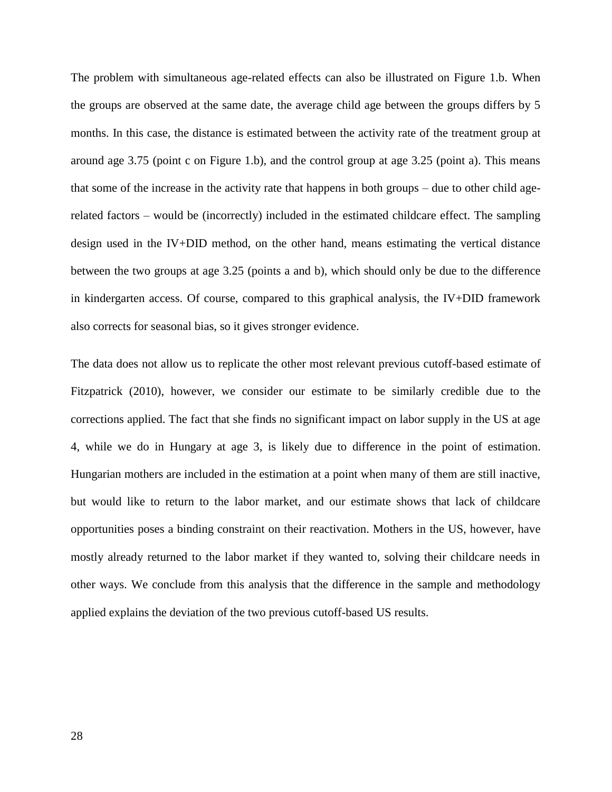The problem with simultaneous age-related effects can also be illustrated on Figure 1.b. When the groups are observed at the same date, the average child age between the groups differs by 5 months. In this case, the distance is estimated between the activity rate of the treatment group at around age 3.75 (point c on Figure 1.b), and the control group at age 3.25 (point a). This means that some of the increase in the activity rate that happens in both groups – due to other child agerelated factors – would be (incorrectly) included in the estimated childcare effect. The sampling design used in the IV+DID method, on the other hand, means estimating the vertical distance between the two groups at age 3.25 (points a and b), which should only be due to the difference in kindergarten access. Of course, compared to this graphical analysis, the IV+DID framework also corrects for seasonal bias, so it gives stronger evidence.

The data does not allow us to replicate the other most relevant previous cutoff-based estimate of Fitzpatrick (2010), however, we consider our estimate to be similarly credible due to the corrections applied. The fact that she finds no significant impact on labor supply in the US at age 4, while we do in Hungary at age 3, is likely due to difference in the point of estimation. Hungarian mothers are included in the estimation at a point when many of them are still inactive, but would like to return to the labor market, and our estimate shows that lack of childcare opportunities poses a binding constraint on their reactivation. Mothers in the US, however, have mostly already returned to the labor market if they wanted to, solving their childcare needs in other ways. We conclude from this analysis that the difference in the sample and methodology applied explains the deviation of the two previous cutoff-based US results.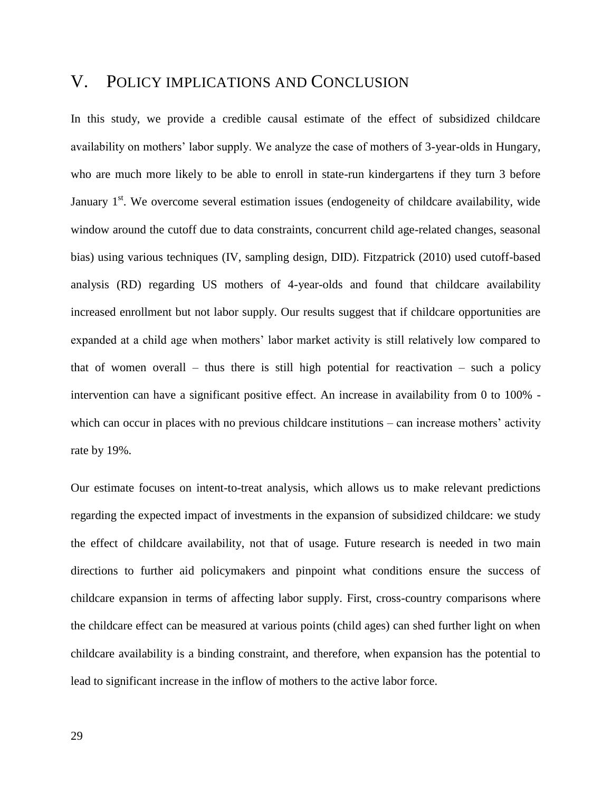### V. POLICY IMPLICATIONS AND CONCLUSION

In this study, we provide a credible causal estimate of the effect of subsidized childcare availability on mothers' labor supply. We analyze the case of mothers of 3-year-olds in Hungary, who are much more likely to be able to enroll in state-run kindergartens if they turn 3 before January  $1<sup>st</sup>$ . We overcome several estimation issues (endogeneity of childcare availability, wide window around the cutoff due to data constraints, concurrent child age-related changes, seasonal bias) using various techniques (IV, sampling design, DID). Fitzpatrick (2010) used cutoff-based analysis (RD) regarding US mothers of 4-year-olds and found that childcare availability increased enrollment but not labor supply. Our results suggest that if childcare opportunities are expanded at a child age when mothers' labor market activity is still relatively low compared to that of women overall – thus there is still high potential for reactivation – such a policy intervention can have a significant positive effect. An increase in availability from 0 to 100% which can occur in places with no previous childcare institutions – can increase mothers' activity rate by 19%.

Our estimate focuses on intent-to-treat analysis, which allows us to make relevant predictions regarding the expected impact of investments in the expansion of subsidized childcare: we study the effect of childcare availability, not that of usage. Future research is needed in two main directions to further aid policymakers and pinpoint what conditions ensure the success of childcare expansion in terms of affecting labor supply. First, cross-country comparisons where the childcare effect can be measured at various points (child ages) can shed further light on when childcare availability is a binding constraint, and therefore, when expansion has the potential to lead to significant increase in the inflow of mothers to the active labor force.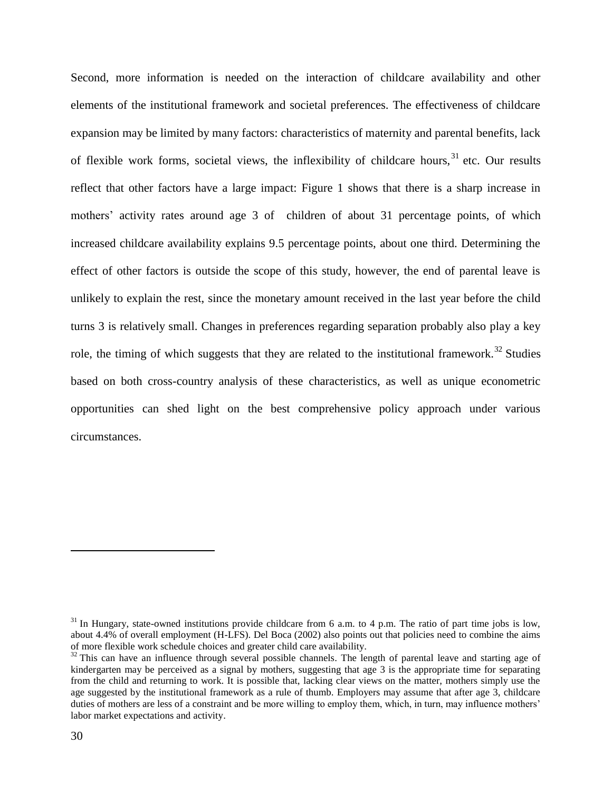Second, more information is needed on the interaction of childcare availability and other elements of the institutional framework and societal preferences. The effectiveness of childcare expansion may be limited by many factors: characteristics of maternity and parental benefits, lack of flexible work forms, societal views, the inflexibility of childcare hours,  $31$  etc. Our results reflect that other factors have a large impact: Figure 1 shows that there is a sharp increase in mothers' activity rates around age 3 of children of about 31 percentage points, of which increased childcare availability explains 9.5 percentage points, about one third. Determining the effect of other factors is outside the scope of this study, however, the end of parental leave is unlikely to explain the rest, since the monetary amount received in the last year before the child turns 3 is relatively small. Changes in preferences regarding separation probably also play a key role, the timing of which suggests that they are related to the institutional framework.<sup>32</sup> Studies based on both cross-country analysis of these characteristics, as well as unique econometric opportunities can shed light on the best comprehensive policy approach under various circumstances.

 $31$  In Hungary, state-owned institutions provide childcare from 6 a.m. to 4 p.m. The ratio of part time jobs is low, about 4.4% of overall employment (H-LFS). Del Boca (2002) also points out that policies need to combine the aims of more flexible work schedule choices and greater child care availability.

 $32$  This can have an influence through several possible channels. The length of parental leave and starting age of kindergarten may be perceived as a signal by mothers, suggesting that age 3 is the appropriate time for separating from the child and returning to work. It is possible that, lacking clear views on the matter, mothers simply use the age suggested by the institutional framework as a rule of thumb. Employers may assume that after age 3, childcare duties of mothers are less of a constraint and be more willing to employ them, which, in turn, may influence mothers' labor market expectations and activity.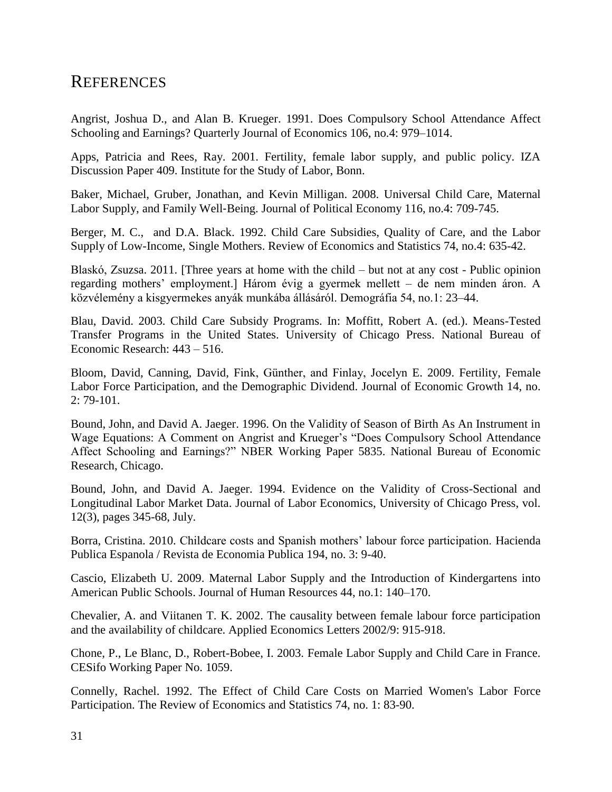# REFERENCES

Angrist, Joshua D., and Alan B. Krueger. 1991. Does Compulsory School Attendance Affect Schooling and Earnings? Quarterly Journal of Economics 106, no.4: 979–1014.

Apps, Patricia and Rees, Ray. 2001. Fertility, female labor supply, and public policy. IZA Discussion Paper 409. Institute for the Study of Labor, Bonn.

Baker, Michael, Gruber, Jonathan, and Kevin Milligan. 2008. Universal Child Care, Maternal Labor Supply, and Family Well‐Being. Journal of Political Economy 116, no.4: 709-745.

Berger, M. C., and D.A. Black. 1992. Child Care Subsidies, Quality of Care, and the Labor Supply of Low-Income, Single Mothers. Review of Economics and Statistics 74, no.4: 635-42.

Blaskó, Zsuzsa. 2011. [Three years at home with the child – but not at any cost - Public opinion regarding mothers' employment.] Három évig a gyermek mellett – de nem minden áron. A közvélemény a kisgyermekes anyák munkába állásáról. Demográfia 54, no.1: 23–44.

Blau, David. 2003. Child Care Subsidy Programs. In: [Moffitt,](http://papers.nber.org/robert_moffitt/) Robert A. (ed.). Means-Tested Transfer Programs in the United States. University of Chicago Press. National Bureau of Economic Research: 443 – 516.

Bloom, David, Canning, David, Fink, Günther, and Finlay, Jocelyn E. 2009. Fertility, Female Labor Force Participation, and the Demographic Dividend. Journal of Economic Growth 14, no. 2: 79-101.

Bound, John, and David A. Jaeger. 1996. On the Validity of Season of Birth As An Instrument in Wage Equations: A Comment on Angrist and Krueger's "Does Compulsory School Attendance Affect Schooling and Earnings?" NBER Working Paper 5835. National Bureau of Economic Research, Chicago.

Bound, John, and David A. Jaeger. 1994. Evidence on the Validity of Cross-Sectional and Longitudinal Labor Market Data. Journal of Labor Economics, University of Chicago Press, vol. 12(3), pages 345-68, July.

Borra, Cristina. 2010. Childcare costs and Spanish mothers' labour force participation. Hacienda Publica Espanola / Revista de Economia Publica 194, no. 3: 9-40.

Cascio, Elizabeth U. 2009. Maternal Labor Supply and the Introduction of Kindergartens into American Public Schools. Journal of Human Resources 44, no.1: 140–170.

Chevalier, A. and Viitanen T. K. 2002. The causality between female labour force participation and the availability of childcare. Applied Economics Letters 2002/9: 915-918.

Chone, P., Le Blanc, D., Robert-Bobee, I. 2003. Female Labor Supply and Child Care in France. CESifo Working Paper No. 1059.

Connelly, Rachel. 1992. The Effect of Child Care Costs on Married Women's Labor Force Participation. The Review of Economics and Statistics 74, no. 1: 83-90.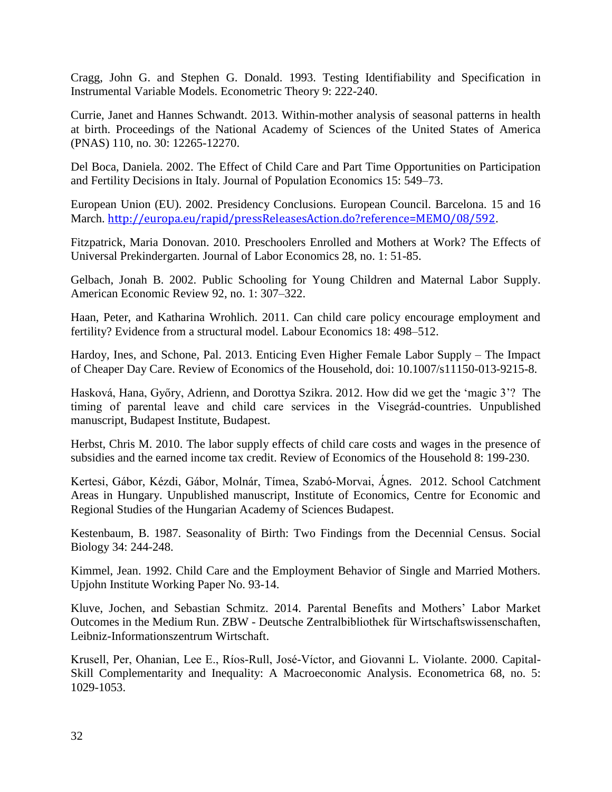Cragg, John G. and Stephen G. Donald. 1993. Testing Identifiability and Specification in Instrumental Variable Models. Econometric Theory 9: 222-240.

Currie, Janet and Hannes Schwandt. 2013. Within-mother analysis of seasonal patterns in health at birth. Proceedings of the National Academy of Sciences of the United States of America (PNAS) 110, no. 30: 12265-12270.

Del Boca, Daniela. 2002. The Effect of Child Care and Part Time Opportunities on Participation and Fertility Decisions in Italy. Journal of Population Economics 15: 549–73.

European Union (EU). 2002. Presidency Conclusions. European Council. Barcelona. 15 and 16 March. <http://europa.eu/rapid/pressReleasesAction.do?reference=MEMO/08/592>.

Fitzpatrick, Maria Donovan. 2010. Preschoolers Enrolled and Mothers at Work? The Effects of Universal Prekindergarten. Journal of Labor Economics 28, no. 1: 51-85.

Gelbach, Jonah B. 2002. Public Schooling for Young Children and Maternal Labor Supply. American Economic Review 92, no. 1: 307–322.

Haan, Peter, and Katharina Wrohlich. 2011. Can child care policy encourage employment and fertility? Evidence from a structural model. Labour Economics 18: 498–512.

Hardoy, Ines, and Schone, Pal. 2013. Enticing Even Higher Female Labor Supply – The Impact of Cheaper Day Care. Review of Economics of the Household, doi: 10.1007/s11150-013-9215-8.

Hasková, Hana, Győry, Adrienn, and Dorottya Szikra. 2012. How did we get the 'magic 3'? The timing of parental leave and child care services in the Visegrád-countries. Unpublished manuscript, Budapest Institute, Budapest.

Herbst, Chris M. 2010. The labor supply effects of child care costs and wages in the presence of subsidies and the earned income tax credit. Review of Economics of the Household 8: 199-230.

Kertesi, Gábor, Kézdi, Gábor, Molnár, Tímea, Szabó-Morvai, Ágnes. 2012. School Catchment Areas in Hungary. Unpublished manuscript, Institute of Economics, Centre for Economic and Regional Studies of the Hungarian Academy of Sciences Budapest.

Kestenbaum, B. 1987. Seasonality of Birth: Two Findings from the Decennial Census. Social Biology 34: 244-248.

Kimmel, Jean. 1992. Child Care and the Employment Behavior of Single and Married Mothers. Upjohn Institute Working Paper No. 93-14.

Kluve, Jochen, and Sebastian Schmitz. 2014. Parental Benefits and Mothers' Labor Market Outcomes in the Medium Run. ZBW - Deutsche Zentralbibliothek für Wirtschaftswissenschaften, Leibniz-Informationszentrum Wirtschaft.

Krusell, Per, Ohanian, Lee E., Ríos-Rull, José-Víctor, and Giovanni L. Violante. 2000. Capital-Skill Complementarity and Inequality: A Macroeconomic Analysis. Econometrica 68, no. 5: 1029-1053.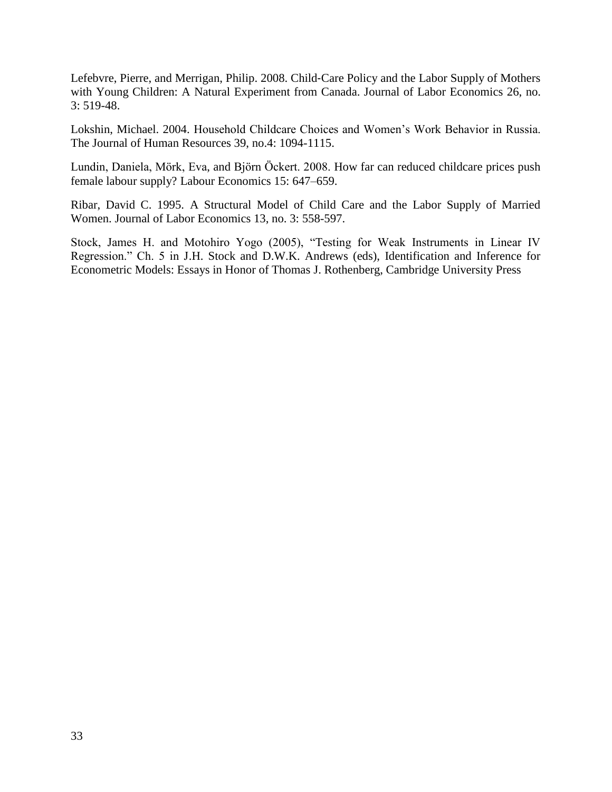Lefebvre, Pierre, and Merrigan, Philip. 2008. Child‐Care Policy and the Labor Supply of Mothers with Young Children: A Natural Experiment from Canada. Journal of Labor Economics 26, no. 3: 519-48.

Lokshin, Michael. 2004. Household Childcare Choices and Women's Work Behavior in Russia. The Journal of Human Resources 39, no.4: 1094-1115.

Lundin, Daniela, Mörk, Eva, and Björn Öckert. 2008. How far can reduced childcare prices push female labour supply? Labour Economics 15: 647–659.

Ribar, David C. 1995. A Structural Model of Child Care and the Labor Supply of Married Women. Journal of Labor Economics 13, no. 3: 558-597.

Stock, James H. and Motohiro Yogo (2005), "Testing for Weak Instruments in Linear IV Regression." Ch. 5 in J.H. Stock and D.W.K. Andrews (eds), Identification and Inference for Econometric Models: Essays in Honor of Thomas J. Rothenberg, Cambridge University Press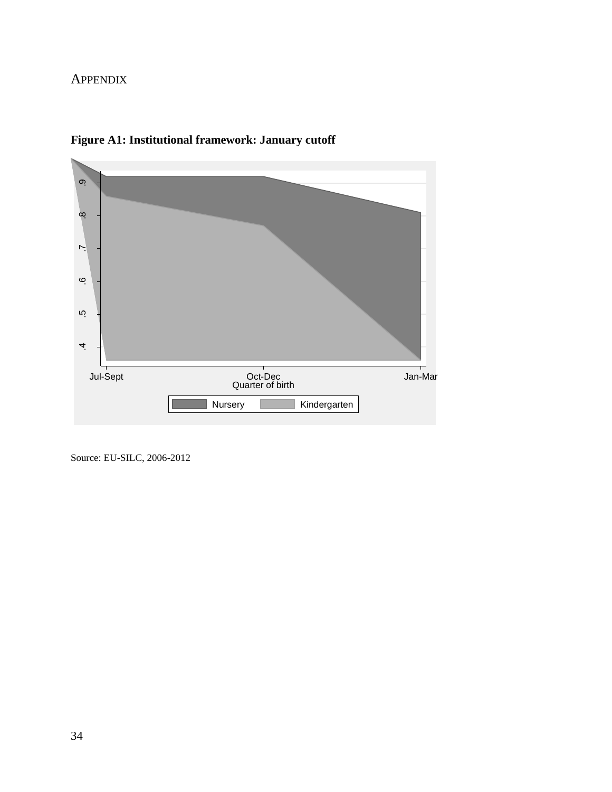### APPENDIX





Source: EU-SILC, 2006-2012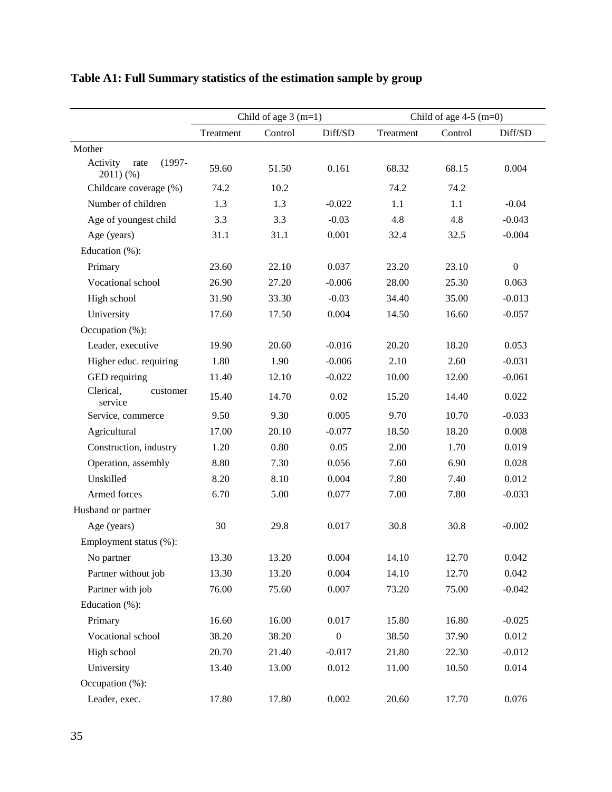|                                              | Child of age $3(m=1)$ |         | Child of age $4-5$ (m=0) |           |         |                  |
|----------------------------------------------|-----------------------|---------|--------------------------|-----------|---------|------------------|
|                                              | Treatment             | Control | Diff/SD                  | Treatment | Control | Diff/SD          |
| Mother                                       |                       |         |                          |           |         |                  |
| Activity<br>$(1997 -$<br>rate<br>$2011)$ (%) | 59.60                 | 51.50   | 0.161                    | 68.32     | 68.15   | 0.004            |
| Childcare coverage (%)                       | 74.2                  | 10.2    |                          | 74.2      | 74.2    |                  |
| Number of children                           | 1.3                   | 1.3     | $-0.022$                 | 1.1       | 1.1     | $-0.04$          |
| Age of youngest child                        | 3.3                   | 3.3     | $-0.03$                  | 4.8       | 4.8     | $-0.043$         |
| Age (years)                                  | 31.1                  | 31.1    | 0.001                    | 32.4      | 32.5    | $-0.004$         |
| Education (%):                               |                       |         |                          |           |         |                  |
| Primary                                      | 23.60                 | 22.10   | 0.037                    | 23.20     | 23.10   | $\boldsymbol{0}$ |
| Vocational school                            | 26.90                 | 27.20   | $-0.006$                 | 28.00     | 25.30   | 0.063            |
| High school                                  | 31.90                 | 33.30   | $-0.03$                  | 34.40     | 35.00   | $-0.013$         |
| University                                   | 17.60                 | 17.50   | 0.004                    | 14.50     | 16.60   | $-0.057$         |
| Occupation (%):                              |                       |         |                          |           |         |                  |
| Leader, executive                            | 19.90                 | 20.60   | $-0.016$                 | 20.20     | 18.20   | 0.053            |
| Higher educ. requiring                       | 1.80                  | 1.90    | $-0.006$                 | 2.10      | 2.60    | $-0.031$         |
| GED requiring                                | 11.40                 | 12.10   | $-0.022$                 | 10.00     | 12.00   | $-0.061$         |
| Clerical,<br>customer<br>service             | 15.40                 | 14.70   | 0.02                     | 15.20     | 14.40   | 0.022            |
| Service, commerce                            | 9.50                  | 9.30    | 0.005                    | 9.70      | 10.70   | $-0.033$         |
| Agricultural                                 | 17.00                 | 20.10   | $-0.077$                 | 18.50     | 18.20   | 0.008            |
| Construction, industry                       | 1.20                  | 0.80    | 0.05                     | 2.00      | 1.70    | 0.019            |
| Operation, assembly                          | 8.80                  | 7.30    | 0.056                    | 7.60      | 6.90    | 0.028            |
| Unskilled                                    | 8.20                  | 8.10    | 0.004                    | 7.80      | 7.40    | 0.012            |
| Armed forces                                 | 6.70                  | 5.00    | 0.077                    | 7.00      | 7.80    | $-0.033$         |
| Husband or partner                           |                       |         |                          |           |         |                  |
| Age (years)                                  | 30                    | 29.8    | 0.017                    | 30.8      | 30.8    | $-0.002$         |
| Employment status (%):                       |                       |         |                          |           |         |                  |
| No partner                                   | 13.30                 | 13.20   | 0.004                    | 14.10     | 12.70   | 0.042            |
| Partner without job                          | 13.30                 | 13.20   | 0.004                    | 14.10     | 12.70   | 0.042            |
| Partner with job                             | 76.00                 | 75.60   | 0.007                    | 73.20     | 75.00   | $-0.042$         |
| Education (%):                               |                       |         |                          |           |         |                  |
| Primary                                      | 16.60                 | 16.00   | 0.017                    | 15.80     | 16.80   | $-0.025$         |
| Vocational school                            | 38.20                 | 38.20   | $\boldsymbol{0}$         | 38.50     | 37.90   | 0.012            |
| High school                                  | 20.70                 | 21.40   | $-0.017$                 | 21.80     | 22.30   | $-0.012$         |
| University                                   | 13.40                 | 13.00   | 0.012                    | 11.00     | 10.50   | 0.014            |
| Occupation (%):                              |                       |         |                          |           |         |                  |
| Leader, exec.                                | 17.80                 | 17.80   | 0.002                    | 20.60     | 17.70   | 0.076            |

## **Table A1: Full Summary statistics of the estimation sample by group**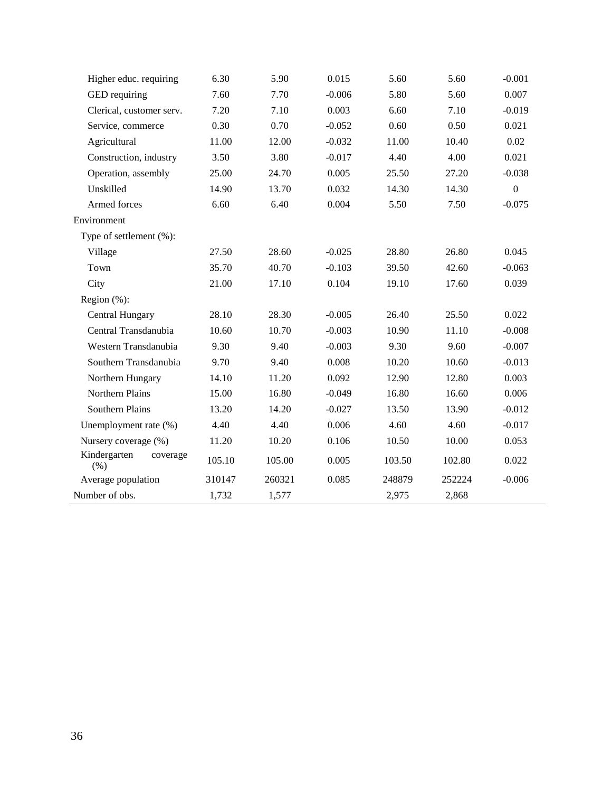| Higher educ. requiring           | 6.30   | 5.90   | 0.015    | 5.60   | 5.60   | $-0.001$         |
|----------------------------------|--------|--------|----------|--------|--------|------------------|
| GED requiring                    | 7.60   | 7.70   | $-0.006$ | 5.80   | 5.60   | 0.007            |
| Clerical, customer serv.         | 7.20   | 7.10   | 0.003    | 6.60   | 7.10   | $-0.019$         |
| Service, commerce                | 0.30   | 0.70   | $-0.052$ | 0.60   | 0.50   | 0.021            |
| Agricultural                     | 11.00  | 12.00  | $-0.032$ | 11.00  | 10.40  | 0.02             |
| Construction, industry           | 3.50   | 3.80   | $-0.017$ | 4.40   | 4.00   | 0.021            |
| Operation, assembly              | 25.00  | 24.70  | 0.005    | 25.50  | 27.20  | $-0.038$         |
| Unskilled                        | 14.90  | 13.70  | 0.032    | 14.30  | 14.30  | $\boldsymbol{0}$ |
| Armed forces                     | 6.60   | 6.40   | 0.004    | 5.50   | 7.50   | $-0.075$         |
| Environment                      |        |        |          |        |        |                  |
| Type of settlement (%):          |        |        |          |        |        |                  |
| Village                          | 27.50  | 28.60  | $-0.025$ | 28.80  | 26.80  | 0.045            |
| Town                             | 35.70  | 40.70  | $-0.103$ | 39.50  | 42.60  | $-0.063$         |
| City                             | 21.00  | 17.10  | 0.104    | 19.10  | 17.60  | 0.039            |
| Region $(\% )$ :                 |        |        |          |        |        |                  |
| <b>Central Hungary</b>           | 28.10  | 28.30  | $-0.005$ | 26.40  | 25.50  | 0.022            |
| Central Transdanubia             | 10.60  | 10.70  | $-0.003$ | 10.90  | 11.10  | $-0.008$         |
| Western Transdanubia             | 9.30   | 9.40   | $-0.003$ | 9.30   | 9.60   | $-0.007$         |
| Southern Transdanubia            | 9.70   | 9.40   | 0.008    | 10.20  | 10.60  | $-0.013$         |
| Northern Hungary                 | 14.10  | 11.20  | 0.092    | 12.90  | 12.80  | 0.003            |
| Northern Plains                  | 15.00  | 16.80  | $-0.049$ | 16.80  | 16.60  | 0.006            |
| Southern Plains                  | 13.20  | 14.20  | $-0.027$ | 13.50  | 13.90  | $-0.012$         |
| Unemployment rate (%)            | 4.40   | 4.40   | 0.006    | 4.60   | 4.60   | $-0.017$         |
| Nursery coverage (%)             | 11.20  | 10.20  | 0.106    | 10.50  | 10.00  | 0.053            |
| Kindergarten<br>coverage<br>(% ) | 105.10 | 105.00 | 0.005    | 103.50 | 102.80 | 0.022            |
| Average population               | 310147 | 260321 | 0.085    | 248879 | 252224 | $-0.006$         |
| Number of obs.                   | 1,732  | 1,577  |          | 2,975  | 2,868  |                  |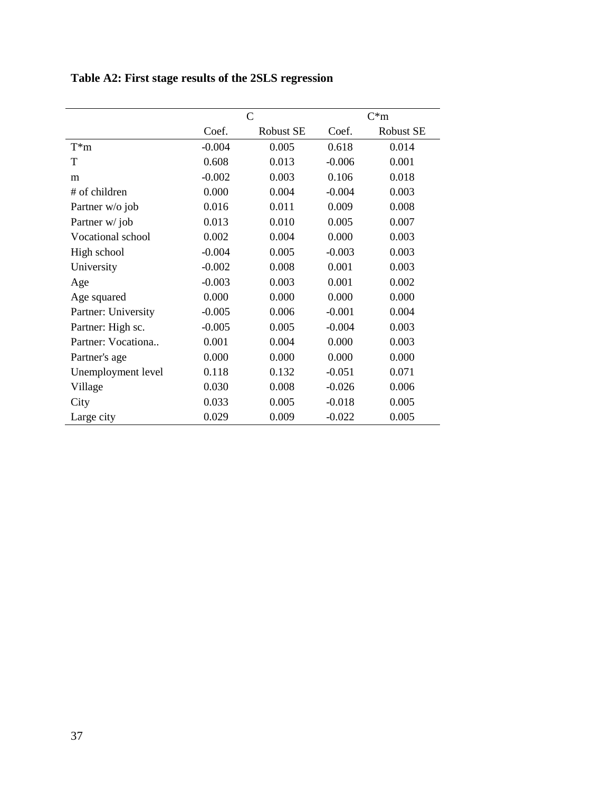|                     | $\mathcal{C}$ |                  |          | $C*m$            |
|---------------------|---------------|------------------|----------|------------------|
|                     | Coef.         | <b>Robust SE</b> | Coef.    | <b>Robust SE</b> |
| $T^*m$              | $-0.004$      | 0.005            | 0.618    | 0.014            |
| T                   | 0.608         | 0.013            | $-0.006$ | 0.001            |
| m                   | $-0.002$      | 0.003            | 0.106    | 0.018            |
| # of children       | 0.000         | 0.004            | $-0.004$ | 0.003            |
| Partner w/o job     | 0.016         | 0.011            | 0.009    | 0.008            |
| Partner w/ job      | 0.013         | 0.010            | 0.005    | 0.007            |
| Vocational school   | 0.002         | 0.004            | 0.000    | 0.003            |
| High school         | $-0.004$      | 0.005            | $-0.003$ | 0.003            |
| University          | $-0.002$      | 0.008            | 0.001    | 0.003            |
| Age                 | $-0.003$      | 0.003            | 0.001    | 0.002            |
| Age squared         | 0.000         | 0.000            | 0.000    | 0.000            |
| Partner: University | $-0.005$      | 0.006            | $-0.001$ | 0.004            |
| Partner: High sc.   | $-0.005$      | 0.005            | $-0.004$ | 0.003            |
| Partner: Vocationa  | 0.001         | 0.004            | 0.000    | 0.003            |
| Partner's age       | 0.000         | 0.000            | 0.000    | 0.000            |
| Unemployment level  | 0.118         | 0.132            | $-0.051$ | 0.071            |
| Village             | 0.030         | 0.008            | $-0.026$ | 0.006            |
| City                | 0.033         | 0.005            | $-0.018$ | 0.005            |
| Large city          | 0.029         | 0.009            | $-0.022$ | 0.005            |

**Table A2: First stage results of the 2SLS regression**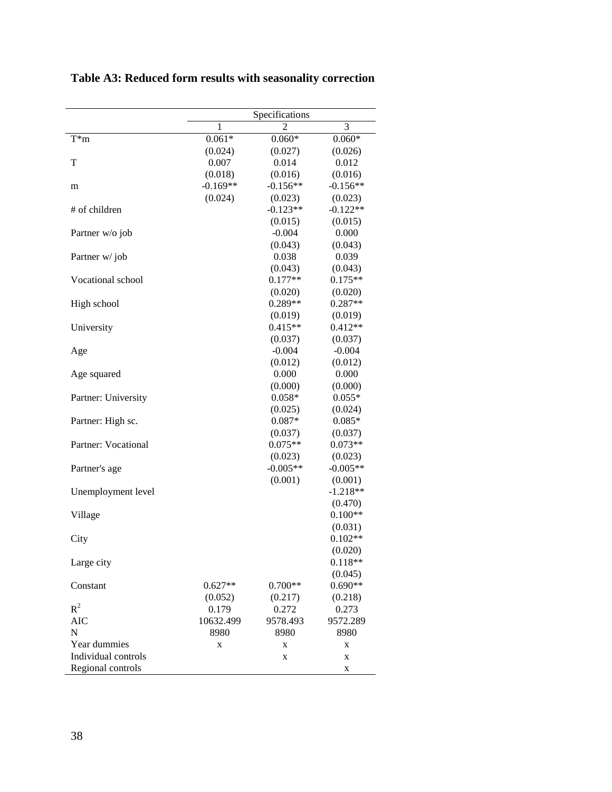|                     | Specifications |            |            |  |  |
|---------------------|----------------|------------|------------|--|--|
|                     | 1              | 2          | 3          |  |  |
| $T^*m$              | $0.061*$       | $0.060*$   | $0.060*$   |  |  |
|                     | (0.024)        | (0.027)    | (0.026)    |  |  |
| T                   | 0.007          | 0.014      | 0.012      |  |  |
|                     | (0.018)        | (0.016)    | (0.016)    |  |  |
| m                   | $-0.169**$     | $-0.156**$ | $-0.156**$ |  |  |
|                     | (0.024)        | (0.023)    | (0.023)    |  |  |
| # of children       |                | $-0.123**$ | $-0.122**$ |  |  |
|                     |                | (0.015)    | (0.015)    |  |  |
| Partner w/o job     |                | $-0.004$   | 0.000      |  |  |
|                     |                | (0.043)    | (0.043)    |  |  |
| Partner w/job       |                | 0.038      | 0.039      |  |  |
|                     |                | (0.043)    | (0.043)    |  |  |
| Vocational school   |                | $0.177**$  | $0.175**$  |  |  |
|                     |                | (0.020)    | (0.020)    |  |  |
| High school         |                | 0.289**    | $0.287**$  |  |  |
|                     |                | (0.019)    | (0.019)    |  |  |
| University          |                | $0.415**$  | $0.412**$  |  |  |
|                     |                | (0.037)    | (0.037)    |  |  |
| Age                 |                | $-0.004$   | $-0.004$   |  |  |
|                     |                | (0.012)    | (0.012)    |  |  |
| Age squared         |                | 0.000      | 0.000      |  |  |
|                     |                | (0.000)    | (0.000)    |  |  |
| Partner: University |                | $0.058*$   | $0.055*$   |  |  |
|                     |                | (0.025)    | (0.024)    |  |  |
| Partner: High sc.   |                | $0.087*$   | $0.085*$   |  |  |
|                     |                | (0.037)    | (0.037)    |  |  |
| Partner: Vocational |                | $0.075**$  | $0.073**$  |  |  |
|                     |                | (0.023)    | (0.023)    |  |  |
| Partner's age       |                | $-0.005**$ | $-0.005**$ |  |  |
|                     |                | (0.001)    | (0.001)    |  |  |
| Unemployment level  |                |            | $-1.218**$ |  |  |
|                     |                |            | (0.470)    |  |  |
| Village             |                |            | $0.100**$  |  |  |
|                     |                |            | (0.031)    |  |  |
| City                |                |            | $0.102**$  |  |  |
|                     |                |            | (0.020)    |  |  |
| Large city          |                |            | $0.118**$  |  |  |
|                     |                |            | (0.045)    |  |  |
| Constant            | $0.627**$      | $0.700**$  | $0.690**$  |  |  |
|                     | (0.052)        | (0.217)    | (0.218)    |  |  |
| $R^2$               | 0.179          | 0.272      | 0.273      |  |  |
| <b>AIC</b>          | 10632.499      | 9578.493   | 9572.289   |  |  |
| N                   | 8980           | 8980       | 8980       |  |  |
| Year dummies        | X              | X          | X          |  |  |
| Individual controls |                | X          | X          |  |  |
| Regional controls   |                |            | X          |  |  |

**Table A3: Reduced form results with seasonality correction**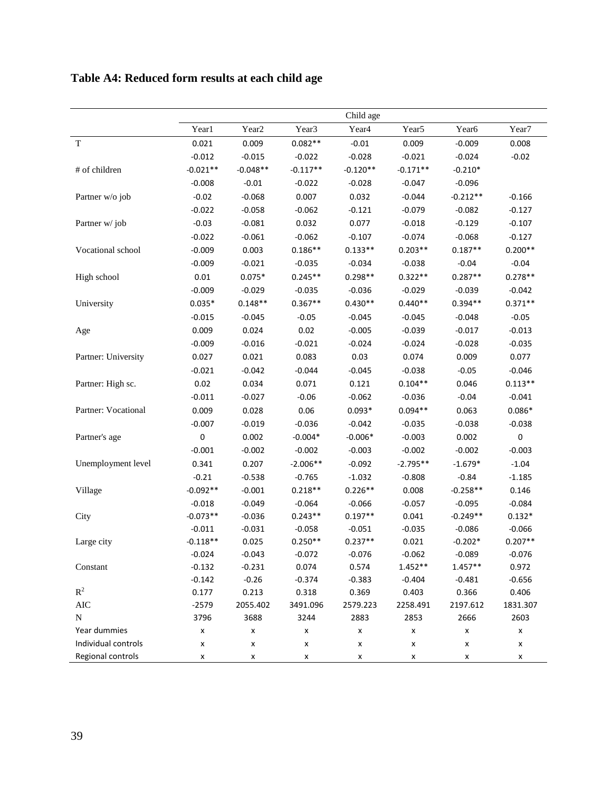## **Table A4: Reduced form results at each child age**

|                     |            |                   |                   | Child age         |                   |                   |           |
|---------------------|------------|-------------------|-------------------|-------------------|-------------------|-------------------|-----------|
|                     | Year1      | Year <sub>2</sub> | Year <sub>3</sub> | Year <sub>4</sub> | Year <sub>5</sub> | Year <sub>6</sub> | Year7     |
| T                   | 0.021      | 0.009             | $0.082**$         | $-0.01$           | 0.009             | $-0.009$          | 0.008     |
|                     | $-0.012$   | $-0.015$          | $-0.022$          | $-0.028$          | $-0.021$          | $-0.024$          | $-0.02$   |
| # of children       | $-0.021**$ | $-0.048**$        | $-0.117**$        | $-0.120**$        | $-0.171**$        | $-0.210*$         |           |
|                     | $-0.008$   | $-0.01$           | $-0.022$          | $-0.028$          | $-0.047$          | $-0.096$          |           |
| Partner w/o job     | $-0.02$    | $-0.068$          | 0.007             | 0.032             | $-0.044$          | $-0.212**$        | $-0.166$  |
|                     | $-0.022$   | $-0.058$          | $-0.062$          | $-0.121$          | $-0.079$          | $-0.082$          | $-0.127$  |
| Partner w/job       | $-0.03$    | $-0.081$          | 0.032             | 0.077             | $-0.018$          | $-0.129$          | $-0.107$  |
|                     | $-0.022$   | $-0.061$          | $-0.062$          | $-0.107$          | $-0.074$          | $-0.068$          | $-0.127$  |
| Vocational school   | $-0.009$   | 0.003             | $0.186**$         | $0.133**$         | $0.203**$         | $0.187**$         | $0.200**$ |
|                     | $-0.009$   | $-0.021$          | $-0.035$          | $-0.034$          | $-0.038$          | $-0.04$           | $-0.04$   |
| High school         | $0.01\,$   | $0.075*$          | $0.245**$         | $0.298**$         | $0.322**$         | $0.287**$         | $0.278**$ |
|                     | $-0.009$   | $-0.029$          | $-0.035$          | $-0.036$          | $-0.029$          | $-0.039$          | $-0.042$  |
| University          | $0.035*$   | $0.148**$         | $0.367**$         | $0.430**$         | $0.440**$         | $0.394**$         | $0.371**$ |
|                     | $-0.015$   | $-0.045$          | $-0.05$           | $-0.045$          | $-0.045$          | $-0.048$          | $-0.05$   |
| Age                 | 0.009      | 0.024             | 0.02              | $-0.005$          | $-0.039$          | $-0.017$          | $-0.013$  |
|                     | $-0.009$   | $-0.016$          | $-0.021$          | $-0.024$          | $-0.024$          | $-0.028$          | $-0.035$  |
| Partner: University | 0.027      | 0.021             | 0.083             | 0.03              | 0.074             | 0.009             | 0.077     |
|                     | $-0.021$   | $-0.042$          | $-0.044$          | $-0.045$          | $-0.038$          | $-0.05$           | $-0.046$  |
| Partner: High sc.   | 0.02       | 0.034             | 0.071             | 0.121             | $0.104**$         | 0.046             | $0.113**$ |
|                     | $-0.011$   | $-0.027$          | $-0.06$           | $-0.062$          | $-0.036$          | $-0.04$           | $-0.041$  |
| Partner: Vocational | 0.009      | 0.028             | 0.06              | $0.093*$          | $0.094**$         | 0.063             | $0.086*$  |
|                     | $-0.007$   | $-0.019$          | $-0.036$          | $-0.042$          | $-0.035$          | $-0.038$          | $-0.038$  |
| Partner's age       | 0          | 0.002             | $-0.004*$         | $-0.006*$         | $-0.003$          | 0.002             | $\pmb{0}$ |
|                     | $-0.001$   | $-0.002$          | $-0.002$          | $-0.003$          | $-0.002$          | $-0.002$          | $-0.003$  |
| Unemployment level  | 0.341      | 0.207             | $-2.006**$        | $-0.092$          | $-2.795**$        | $-1.679*$         | $-1.04$   |
|                     | $-0.21$    | $-0.538$          | $-0.765$          | $-1.032$          | $-0.808$          | $-0.84$           | $-1.185$  |
| Village             | $-0.092**$ | $-0.001$          | $0.218**$         | $0.226**$         | 0.008             | $-0.258**$        | 0.146     |
|                     | $-0.018$   | $-0.049$          | $-0.064$          | $-0.066$          | $-0.057$          | $-0.095$          | $-0.084$  |
| City                | $-0.073**$ | $-0.036$          | $0.243**$         | $0.197**$         | 0.041             | $-0.249**$        | $0.132*$  |
|                     | $-0.011$   | $-0.031$          | $-0.058$          | $-0.051$          | $-0.035$          | $-0.086$          | $-0.066$  |
| Large city          | $-0.118**$ | 0.025             | $0.250**$         | $0.237**$         | 0.021             | $-0.202*$         | $0.207**$ |
|                     | $-0.024$   | $-0.043$          | $-0.072$          | $-0.076$          | $-0.062$          | $-0.089$          | $-0.076$  |
| Constant            | $-0.132$   | $-0.231$          | 0.074             | 0.574             | $1.452**$         | $1.457**$         | 0.972     |
|                     | $-0.142$   | $-0.26$           | $-0.374$          | $-0.383$          | $-0.404$          | $-0.481$          | $-0.656$  |
| $R^2$               | 0.177      | 0.213             | 0.318             | 0.369             | 0.403             | 0.366             | 0.406     |
| $\rm AIC$           | $-2579$    | 2055.402          | 3491.096          | 2579.223          | 2258.491          | 2197.612          | 1831.307  |
| $\mathbf N$         | 3796       | 3688              | 3244              | 2883              | 2853              | 2666              | 2603      |
| Year dummies        | x          | X                 | x                 | x                 | x                 | x                 | X         |
| Individual controls | x          | x                 | X                 | x                 | x                 | x                 | x         |
| Regional controls   | x          | x                 | x                 | x                 | x                 | x                 | x         |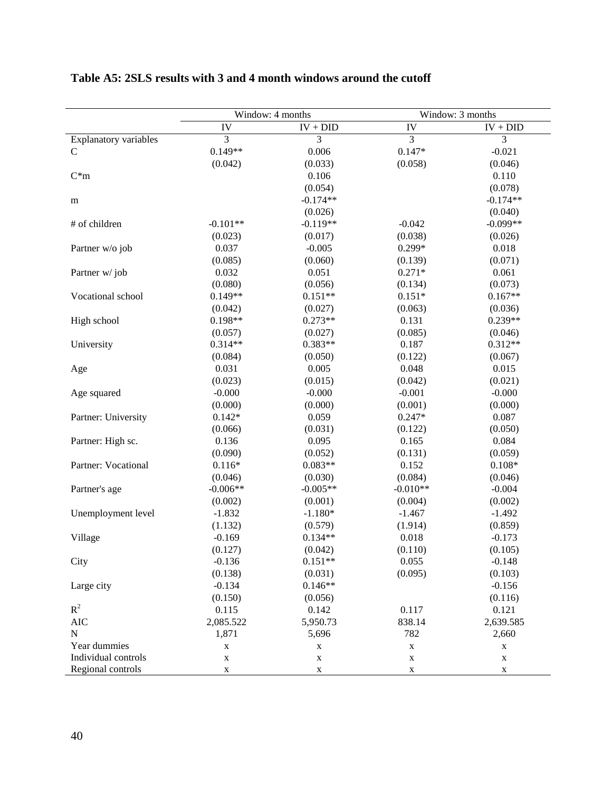|                              |                | Window: 4 months | Window: 3 months |                |  |  |
|------------------------------|----------------|------------------|------------------|----------------|--|--|
|                              | IV             | $IV + DID$       | IV               | $IV + DID$     |  |  |
| <b>Explanatory variables</b> | $\overline{3}$ | $\overline{3}$   | $\overline{3}$   | $\overline{3}$ |  |  |
| $\mathcal{C}$                | $0.149**$      | 0.006            | $0.147*$         | $-0.021$       |  |  |
|                              | (0.042)        | (0.033)          | (0.058)          | (0.046)        |  |  |
| $C*m$                        |                | 0.106            |                  | 0.110          |  |  |
|                              |                | (0.054)          |                  | (0.078)        |  |  |
| m                            |                | $-0.174**$       |                  | $-0.174**$     |  |  |
|                              |                | (0.026)          |                  | (0.040)        |  |  |
| # of children                | $-0.101**$     | $-0.119**$       | $-0.042$         | $-0.099**$     |  |  |
|                              | (0.023)        | (0.017)          | (0.038)          | (0.026)        |  |  |
| Partner w/o job              | 0.037          | $-0.005$         | $0.299*$         | 0.018          |  |  |
|                              | (0.085)        | (0.060)          | (0.139)          | (0.071)        |  |  |
| Partner w/job                | 0.032          | 0.051            | $0.271*$         | 0.061          |  |  |
|                              | (0.080)        | (0.056)          | (0.134)          | (0.073)        |  |  |
| Vocational school            | $0.149**$      | $0.151**$        | $0.151*$         | $0.167**$      |  |  |
|                              | (0.042)        | (0.027)          | (0.063)          | (0.036)        |  |  |
| High school                  | $0.198**$      | $0.273**$        | 0.131            | $0.239**$      |  |  |
|                              | (0.057)        | (0.027)          | (0.085)          | (0.046)        |  |  |
| University                   | $0.314**$      | $0.383**$        | 0.187            | $0.312**$      |  |  |
|                              | (0.084)        | (0.050)          | (0.122)          | (0.067)        |  |  |
| Age                          | 0.031          | 0.005            | 0.048            | 0.015          |  |  |
|                              | (0.023)        | (0.015)          | (0.042)          | (0.021)        |  |  |
| Age squared                  | $-0.000$       | $-0.000$         | $-0.001$         | $-0.000$       |  |  |
|                              | (0.000)        | (0.000)          | (0.001)          | (0.000)        |  |  |
| Partner: University          | $0.142*$       | 0.059            | $0.247*$         | 0.087          |  |  |
|                              | (0.066)        | (0.031)          | (0.122)          | (0.050)        |  |  |
| Partner: High sc.            | 0.136          | 0.095            | 0.165            | 0.084          |  |  |
|                              | (0.090)        | (0.052)          | (0.131)          | (0.059)        |  |  |
| Partner: Vocational          | $0.116*$       | $0.083**$        | 0.152            | $0.108*$       |  |  |
|                              | (0.046)        | (0.030)          | (0.084)          | (0.046)        |  |  |
| Partner's age                | $-0.006**$     | $-0.005**$       | $-0.010**$       | $-0.004$       |  |  |
|                              | (0.002)        | (0.001)          | (0.004)          | (0.002)        |  |  |
| Unemployment level           | $-1.832$       | $-1.180*$        | $-1.467$         | $-1.492$       |  |  |
|                              | (1.132)        | (0.579)          | (1.914)          | (0.859)        |  |  |
| Village                      | $-0.169$       | $0.134**$        | 0.018            | $-0.173$       |  |  |
|                              | (0.127)        | (0.042)          | (0.110)          | (0.105)        |  |  |
| City                         | $-0.136$       | $0.151**$        | 0.055            | $-0.148$       |  |  |
|                              | (0.138)        | (0.031)          | (0.095)          | (0.103)        |  |  |
| Large city                   | $-0.134$       | $0.146**$        |                  | $-0.156$       |  |  |
|                              | (0.150)        | (0.056)          |                  | (0.116)        |  |  |
| $R^2$                        | 0.115          | 0.142            | 0.117            | 0.121          |  |  |
| <b>AIC</b>                   | 2,085.522      | 5,950.73         | 838.14           | 2,639.585      |  |  |
| $\mathbf N$                  | 1,871          | 5,696            | 782              | 2,660          |  |  |
| Year dummies                 | $\mathbf X$    | X                | X                | $\mathbf X$    |  |  |
| Individual controls          | $\mathbf X$    | X                | $\mathbf X$      | $\mathbf X$    |  |  |
| Regional controls            | X              | X                | X                | X              |  |  |

### **Table A5: 2SLS results with 3 and 4 month windows around the cutoff**